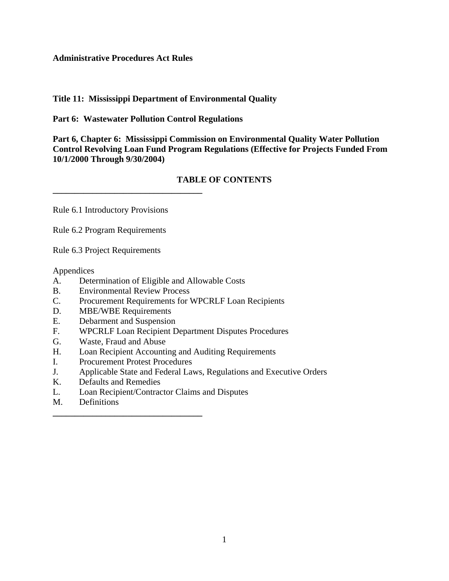### **Administrative Procedures Act Rules**

# **Title 11: Mississippi Department of Environmental Quality**

**Part 6: Wastewater Pollution Control Regulations**

**Part 6, Chapter 6: Mississippi Commission on Environmental Quality Water Pollution Control Revolving Loan Fund Program Regulations (Effective for Projects Funded From 10/1/2000 Through 9/30/2004)**

# **TABLE OF CONTENTS**

Rule 6.1 Introductory Provisions

**\_\_\_\_\_\_\_\_\_\_\_\_\_\_\_\_\_\_\_\_\_\_\_\_\_\_\_\_\_\_\_\_\_\_**

Rule 6.2 Program Requirements

Rule 6.3 Project Requirements

Appendices

- A. Determination of Eligible and Allowable Costs
- B. Environmental Review Process
- C. Procurement Requirements for WPCRLF Loan Recipients
- D. MBE/WBE Requirements
- E. Debarment and Suspension
- F. WPCRLF Loan Recipient Department Disputes Procedures
- G. Waste, Fraud and Abuse
- H. Loan Recipient Accounting and Auditing Requirements
- I. Procurement Protest Procedures

**\_\_\_\_\_\_\_\_\_\_\_\_\_\_\_\_\_\_\_\_\_\_\_\_\_\_\_\_\_\_\_\_\_\_**

- J. Applicable State and Federal Laws, Regulations and Executive Orders
- K. Defaults and Remedies
- L. Loan Recipient/Contractor Claims and Disputes
- M. Definitions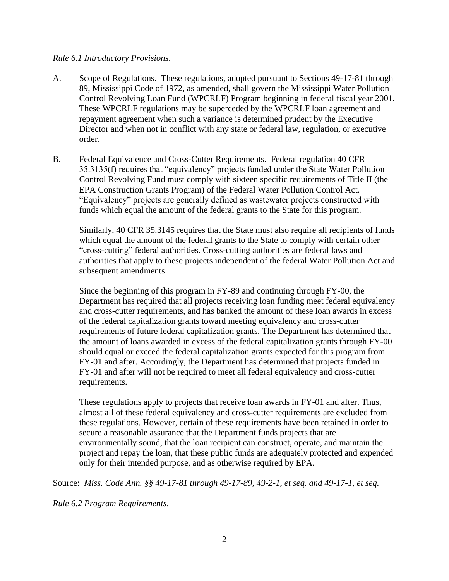#### *Rule 6.1 Introductory Provisions*.

- A. Scope of Regulations. These regulations, adopted pursuant to Sections 49-17-81 through 89, Mississippi Code of 1972, as amended, shall govern the Mississippi Water Pollution Control Revolving Loan Fund (WPCRLF) Program beginning in federal fiscal year 2001. These WPCRLF regulations may be superceded by the WPCRLF loan agreement and repayment agreement when such a variance is determined prudent by the Executive Director and when not in conflict with any state or federal law, regulation, or executive order.
- B. Federal Equivalence and Cross-Cutter Requirements. Federal regulation 40 CFR 35.3135(f) requires that "equivalency" projects funded under the State Water Pollution Control Revolving Fund must comply with sixteen specific requirements of Title II (the EPA Construction Grants Program) of the Federal Water Pollution Control Act. "Equivalency" projects are generally defined as wastewater projects constructed with funds which equal the amount of the federal grants to the State for this program.

Similarly, 40 CFR 35.3145 requires that the State must also require all recipients of funds which equal the amount of the federal grants to the State to comply with certain other "cross-cutting" federal authorities. Cross-cutting authorities are federal laws and authorities that apply to these projects independent of the federal Water Pollution Act and subsequent amendments.

Since the beginning of this program in FY-89 and continuing through FY-00, the Department has required that all projects receiving loan funding meet federal equivalency and cross-cutter requirements, and has banked the amount of these loan awards in excess of the federal capitalization grants toward meeting equivalency and cross-cutter requirements of future federal capitalization grants. The Department has determined that the amount of loans awarded in excess of the federal capitalization grants through FY-00 should equal or exceed the federal capitalization grants expected for this program from FY-01 and after. Accordingly, the Department has determined that projects funded in FY-01 and after will not be required to meet all federal equivalency and cross-cutter requirements.

These regulations apply to projects that receive loan awards in FY-01 and after. Thus, almost all of these federal equivalency and cross-cutter requirements are excluded from these regulations. However, certain of these requirements have been retained in order to secure a reasonable assurance that the Department funds projects that are environmentally sound, that the loan recipient can construct, operate, and maintain the project and repay the loan, that these public funds are adequately protected and expended only for their intended purpose, and as otherwise required by EPA.

Source: *Miss. Code Ann. §§ 49-17-81 through 49-17-89, 49-2-1, et seq. and 49-17-1, et seq.*

*Rule 6.2 Program Requirements*.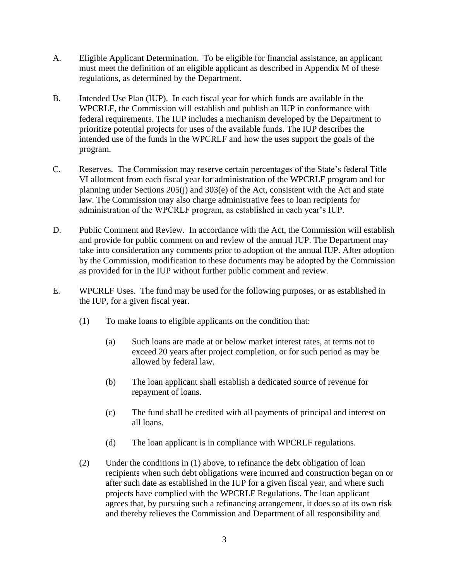- A. Eligible Applicant Determination. To be eligible for financial assistance, an applicant must meet the definition of an eligible applicant as described in Appendix M of these regulations, as determined by the Department.
- B. Intended Use Plan (IUP). In each fiscal year for which funds are available in the WPCRLF, the Commission will establish and publish an IUP in conformance with federal requirements. The IUP includes a mechanism developed by the Department to prioritize potential projects for uses of the available funds. The IUP describes the intended use of the funds in the WPCRLF and how the uses support the goals of the program.
- C. Reserves. The Commission may reserve certain percentages of the State's federal Title VI allotment from each fiscal year for administration of the WPCRLF program and for planning under Sections 205(j) and 303(e) of the Act, consistent with the Act and state law. The Commission may also charge administrative fees to loan recipients for administration of the WPCRLF program, as established in each year's IUP.
- D. Public Comment and Review. In accordance with the Act, the Commission will establish and provide for public comment on and review of the annual IUP. The Department may take into consideration any comments prior to adoption of the annual IUP. After adoption by the Commission, modification to these documents may be adopted by the Commission as provided for in the IUP without further public comment and review.
- E. WPCRLF Uses. The fund may be used for the following purposes, or as established in the IUP, for a given fiscal year.
	- (1) To make loans to eligible applicants on the condition that:
		- (a) Such loans are made at or below market interest rates, at terms not to exceed 20 years after project completion, or for such period as may be allowed by federal law.
		- (b) The loan applicant shall establish a dedicated source of revenue for repayment of loans.
		- (c) The fund shall be credited with all payments of principal and interest on all loans.
		- (d) The loan applicant is in compliance with WPCRLF regulations.
	- (2) Under the conditions in (1) above, to refinance the debt obligation of loan recipients when such debt obligations were incurred and construction began on or after such date as established in the IUP for a given fiscal year, and where such projects have complied with the WPCRLF Regulations. The loan applicant agrees that, by pursuing such a refinancing arrangement, it does so at its own risk and thereby relieves the Commission and Department of all responsibility and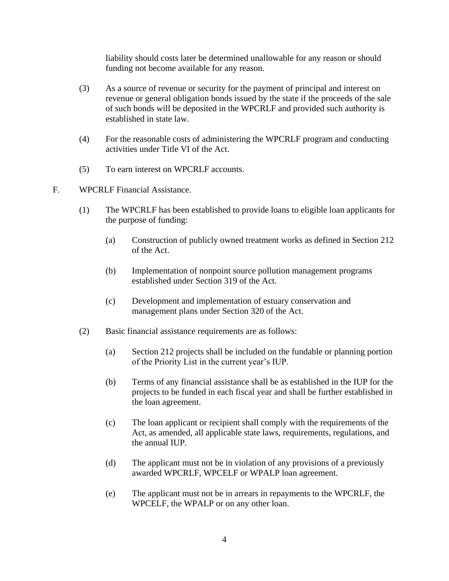liability should costs later be determined unallowable for any reason or should funding not become available for any reason.

- (3) As a source of revenue or security for the payment of principal and interest on revenue or general obligation bonds issued by the state if the proceeds of the sale of such bonds will be deposited in the WPCRLF and provided such authority is established in state law.
- (4) For the reasonable costs of administering the WPCRLF program and conducting activities under Title VI of the Act.
- (5) To earn interest on WPCRLF accounts.
- F. WPCRLF Financial Assistance.
	- (1) The WPCRLF has been established to provide loans to eligible loan applicants for the purpose of funding:
		- (a) Construction of publicly owned treatment works as defined in Section 212 of the Act.
		- (b) Implementation of nonpoint source pollution management programs established under Section 319 of the Act.
		- (c) Development and implementation of estuary conservation and management plans under Section 320 of the Act.
	- (2) Basic financial assistance requirements are as follows:
		- (a) Section 212 projects shall be included on the fundable or planning portion of the Priority List in the current year's IUP.
		- (b) Terms of any financial assistance shall be as established in the IUP for the projects to be funded in each fiscal year and shall be further established in the loan agreement.
		- (c) The loan applicant or recipient shall comply with the requirements of the Act, as amended, all applicable state laws, requirements, regulations, and the annual IUP.
		- (d) The applicant must not be in violation of any provisions of a previously awarded WPCRLF, WPCELF or WPALP loan agreement.
		- (e) The applicant must not be in arrears in repayments to the WPCRLF, the WPCELF, the WPALP or on any other loan.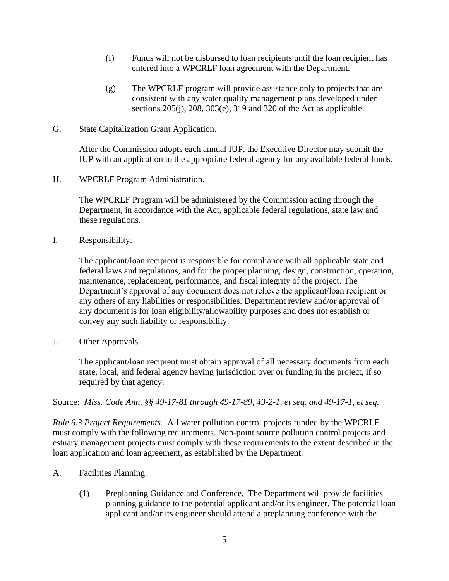- (f) Funds will not be disbursed to loan recipients until the loan recipient has entered into a WPCRLF loan agreement with the Department.
- (g) The WPCRLF program will provide assistance only to projects that are consistent with any water quality management plans developed under sections 205(j), 208, 303(e), 319 and 320 of the Act as applicable.
- G. State Capitalization Grant Application.

After the Commission adopts each annual IUP, the Executive Director may submit the IUP with an application to the appropriate federal agency for any available federal funds.

H. WPCRLF Program Administration.

The WPCRLF Program will be administered by the Commission acting through the Department, in accordance with the Act, applicable federal regulations, state law and these regulations.

I. Responsibility.

The applicant/loan recipient is responsible for compliance with all applicable state and federal laws and regulations, and for the proper planning, design, construction, operation, maintenance, replacement, performance, and fiscal integrity of the project. The Department's approval of any document does not relieve the applicant/loan recipient or any others of any liabilities or responsibilities. Department review and/or approval of any document is for loan eligibility/allowability purposes and does not establish or convey any such liability or responsibility.

J. Other Approvals.

The applicant/loan recipient must obtain approval of all necessary documents from each state, local, and federal agency having jurisdiction over or funding in the project, if so required by that agency.

Source: *Miss. Code Ann, §§ 49-17-81 through 49-17-89, 49-2-1, et seq. and 49-17-1, et seq.*

*Rule 6.3 Project Requirements*. All water pollution control projects funded by the WPCRLF must comply with the following requirements. Non-point source pollution control projects and estuary management projects must comply with these requirements to the extent described in the loan application and loan agreement, as established by the Department.

- A. Facilities Planning.
	- (1) Preplanning Guidance and Conference. The Department will provide facilities planning guidance to the potential applicant and/or its engineer. The potential loan applicant and/or its engineer should attend a preplanning conference with the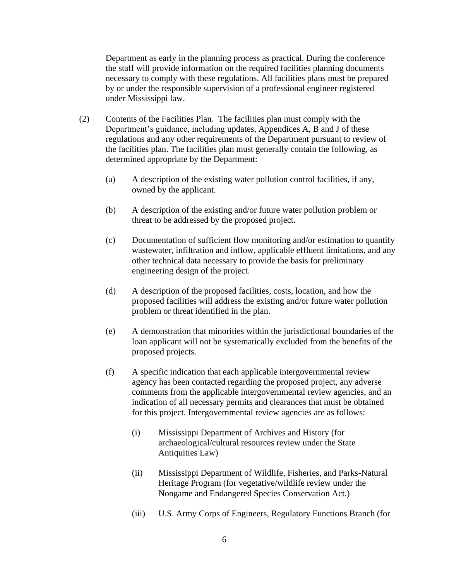Department as early in the planning process as practical. During the conference the staff will provide information on the required facilities planning documents necessary to comply with these regulations. All facilities plans must be prepared by or under the responsible supervision of a professional engineer registered under Mississippi law.

- (2) Contents of the Facilities Plan. The facilities plan must comply with the Department's guidance, including updates, Appendices A, B and J of these regulations and any other requirements of the Department pursuant to review of the facilities plan. The facilities plan must generally contain the following, as determined appropriate by the Department:
	- (a) A description of the existing water pollution control facilities, if any, owned by the applicant.
	- (b) A description of the existing and/or future water pollution problem or threat to be addressed by the proposed project.
	- (c) Documentation of sufficient flow monitoring and/or estimation to quantify wastewater, infiltration and inflow, applicable effluent limitations, and any other technical data necessary to provide the basis for preliminary engineering design of the project.
	- (d) A description of the proposed facilities, costs, location, and how the proposed facilities will address the existing and/or future water pollution problem or threat identified in the plan.
	- (e) A demonstration that minorities within the jurisdictional boundaries of the loan applicant will not be systematically excluded from the benefits of the proposed projects.
	- (f) A specific indication that each applicable intergovernmental review agency has been contacted regarding the proposed project, any adverse comments from the applicable intergovernmental review agencies, and an indication of all necessary permits and clearances that must be obtained for this project. Intergovernmental review agencies are as follows:
		- (i) Mississippi Department of Archives and History (for archaeological/cultural resources review under the State Antiquities Law)
		- (ii) Mississippi Department of Wildlife, Fisheries, and Parks-Natural Heritage Program (for vegetative/wildlife review under the Nongame and Endangered Species Conservation Act.)
		- (iii) U.S. Army Corps of Engineers, Regulatory Functions Branch (for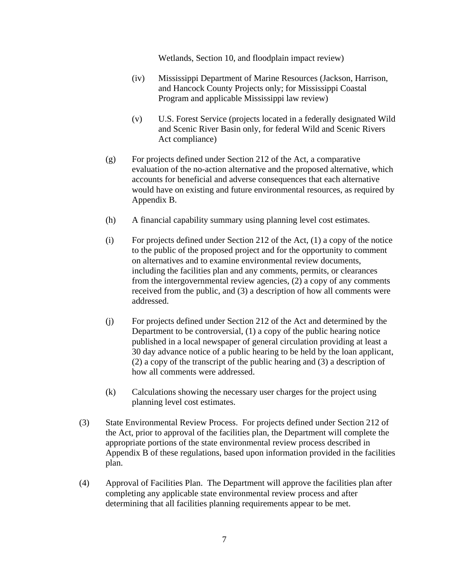Wetlands, Section 10, and floodplain impact review)

- (iv) Mississippi Department of Marine Resources (Jackson, Harrison, and Hancock County Projects only; for Mississippi Coastal Program and applicable Mississippi law review)
- (v) U.S. Forest Service (projects located in a federally designated Wild and Scenic River Basin only, for federal Wild and Scenic Rivers Act compliance)
- (g) For projects defined under Section 212 of the Act, a comparative evaluation of the no-action alternative and the proposed alternative, which accounts for beneficial and adverse consequences that each alternative would have on existing and future environmental resources, as required by Appendix B.
- (h) A financial capability summary using planning level cost estimates.
- (i) For projects defined under Section 212 of the Act,  $(1)$  a copy of the notice to the public of the proposed project and for the opportunity to comment on alternatives and to examine environmental review documents, including the facilities plan and any comments, permits, or clearances from the intergovernmental review agencies, (2) a copy of any comments received from the public, and (3) a description of how all comments were addressed.
- (j) For projects defined under Section 212 of the Act and determined by the Department to be controversial, (1) a copy of the public hearing notice published in a local newspaper of general circulation providing at least a 30 day advance notice of a public hearing to be held by the loan applicant, (2) a copy of the transcript of the public hearing and (3) a description of how all comments were addressed.
- (k) Calculations showing the necessary user charges for the project using planning level cost estimates.
- (3) State Environmental Review Process. For projects defined under Section 212 of the Act, prior to approval of the facilities plan, the Department will complete the appropriate portions of the state environmental review process described in Appendix B of these regulations, based upon information provided in the facilities plan.
- (4) Approval of Facilities Plan. The Department will approve the facilities plan after completing any applicable state environmental review process and after determining that all facilities planning requirements appear to be met.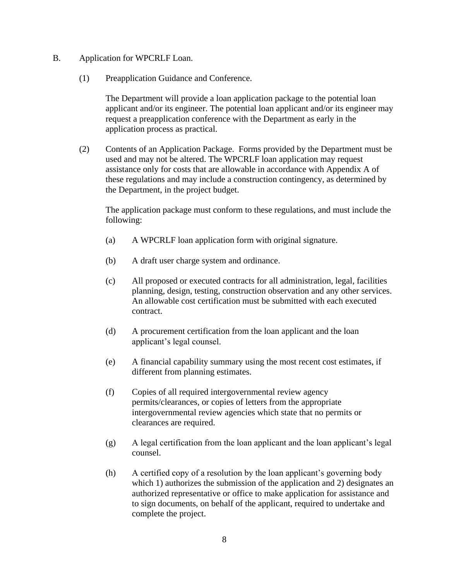- B. Application for WPCRLF Loan.
	- (1) Preapplication Guidance and Conference.

The Department will provide a loan application package to the potential loan applicant and/or its engineer. The potential loan applicant and/or its engineer may request a preapplication conference with the Department as early in the application process as practical.

(2) Contents of an Application Package. Forms provided by the Department must be used and may not be altered. The WPCRLF loan application may request assistance only for costs that are allowable in accordance with Appendix A of these regulations and may include a construction contingency, as determined by the Department, in the project budget.

The application package must conform to these regulations, and must include the following:

- (a) A WPCRLF loan application form with original signature.
- (b) A draft user charge system and ordinance.
- (c) All proposed or executed contracts for all administration, legal, facilities planning, design, testing, construction observation and any other services. An allowable cost certification must be submitted with each executed contract.
- (d) A procurement certification from the loan applicant and the loan applicant's legal counsel.
- (e) A financial capability summary using the most recent cost estimates, if different from planning estimates.
- (f) Copies of all required intergovernmental review agency permits/clearances, or copies of letters from the appropriate intergovernmental review agencies which state that no permits or clearances are required.
- (g) A legal certification from the loan applicant and the loan applicant's legal counsel.
- (h) A certified copy of a resolution by the loan applicant's governing body which 1) authorizes the submission of the application and 2) designates an authorized representative or office to make application for assistance and to sign documents, on behalf of the applicant, required to undertake and complete the project.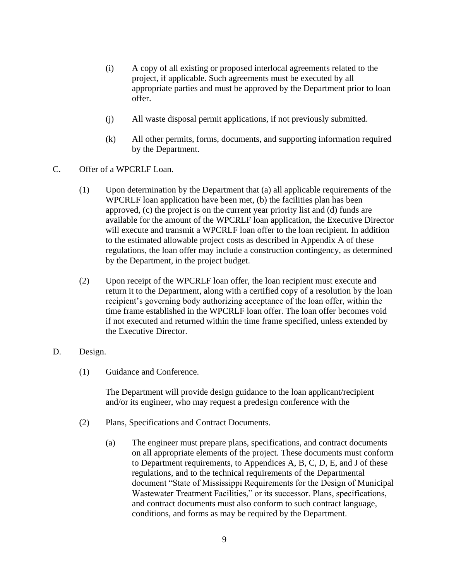- (i) A copy of all existing or proposed interlocal agreements related to the project, if applicable. Such agreements must be executed by all appropriate parties and must be approved by the Department prior to loan offer.
- (j) All waste disposal permit applications, if not previously submitted.
- (k) All other permits, forms, documents, and supporting information required by the Department.
- C. Offer of a WPCRLF Loan.
	- (1) Upon determination by the Department that (a) all applicable requirements of the WPCRLF loan application have been met, (b) the facilities plan has been approved, (c) the project is on the current year priority list and (d) funds are available for the amount of the WPCRLF loan application, the Executive Director will execute and transmit a WPCRLF loan offer to the loan recipient. In addition to the estimated allowable project costs as described in Appendix A of these regulations, the loan offer may include a construction contingency, as determined by the Department, in the project budget.
	- (2) Upon receipt of the WPCRLF loan offer, the loan recipient must execute and return it to the Department, along with a certified copy of a resolution by the loan recipient's governing body authorizing acceptance of the loan offer, within the time frame established in the WPCRLF loan offer. The loan offer becomes void if not executed and returned within the time frame specified, unless extended by the Executive Director.
- D. Design.
	- (1) Guidance and Conference.

The Department will provide design guidance to the loan applicant/recipient and/or its engineer, who may request a predesign conference with the

- (2) Plans, Specifications and Contract Documents.
	- (a) The engineer must prepare plans, specifications, and contract documents on all appropriate elements of the project. These documents must conform to Department requirements, to Appendices A, B, C, D, E, and J of these regulations, and to the technical requirements of the Departmental document "State of Mississippi Requirements for the Design of Municipal Wastewater Treatment Facilities," or its successor. Plans, specifications, and contract documents must also conform to such contract language, conditions, and forms as may be required by the Department.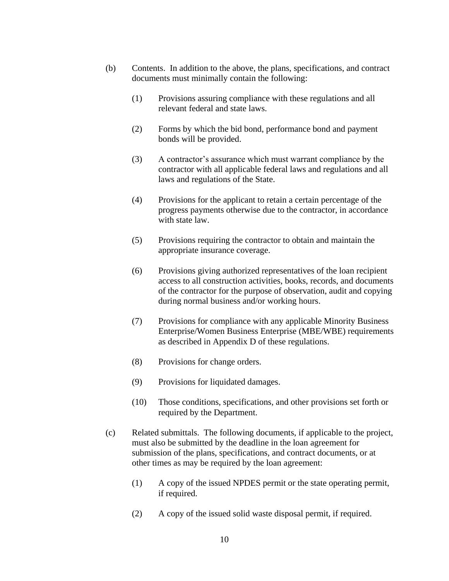- (b) Contents. In addition to the above, the plans, specifications, and contract documents must minimally contain the following:
	- (1) Provisions assuring compliance with these regulations and all relevant federal and state laws.
	- (2) Forms by which the bid bond, performance bond and payment bonds will be provided.
	- (3) A contractor's assurance which must warrant compliance by the contractor with all applicable federal laws and regulations and all laws and regulations of the State.
	- (4) Provisions for the applicant to retain a certain percentage of the progress payments otherwise due to the contractor, in accordance with state law.
	- (5) Provisions requiring the contractor to obtain and maintain the appropriate insurance coverage.
	- (6) Provisions giving authorized representatives of the loan recipient access to all construction activities, books, records, and documents of the contractor for the purpose of observation, audit and copying during normal business and/or working hours.
	- (7) Provisions for compliance with any applicable Minority Business Enterprise/Women Business Enterprise (MBE/WBE) requirements as described in Appendix D of these regulations.
	- (8) Provisions for change orders.
	- (9) Provisions for liquidated damages.
	- (10) Those conditions, specifications, and other provisions set forth or required by the Department.
- (c) Related submittals. The following documents, if applicable to the project, must also be submitted by the deadline in the loan agreement for submission of the plans, specifications, and contract documents, or at other times as may be required by the loan agreement:
	- (1) A copy of the issued NPDES permit or the state operating permit, if required.
	- (2) A copy of the issued solid waste disposal permit, if required.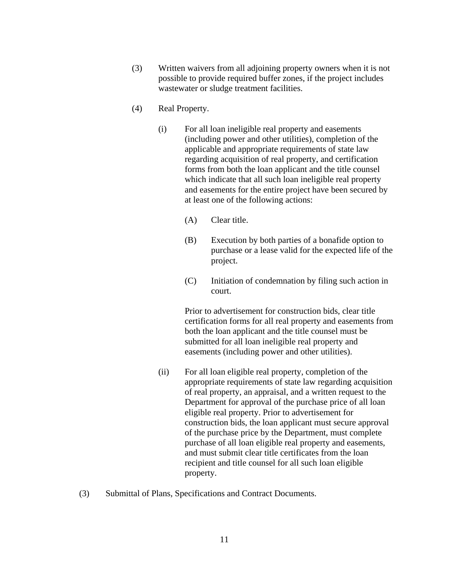- (3) Written waivers from all adjoining property owners when it is not possible to provide required buffer zones, if the project includes wastewater or sludge treatment facilities.
- (4) Real Property.
	- (i) For all loan ineligible real property and easements (including power and other utilities), completion of the applicable and appropriate requirements of state law regarding acquisition of real property, and certification forms from both the loan applicant and the title counsel which indicate that all such loan ineligible real property and easements for the entire project have been secured by at least one of the following actions:
		- (A) Clear title.
		- (B) Execution by both parties of a bonafide option to purchase or a lease valid for the expected life of the project.
		- (C) Initiation of condemnation by filing such action in court.

Prior to advertisement for construction bids, clear title certification forms for all real property and easements from both the loan applicant and the title counsel must be submitted for all loan ineligible real property and easements (including power and other utilities).

- (ii) For all loan eligible real property, completion of the appropriate requirements of state law regarding acquisition of real property, an appraisal, and a written request to the Department for approval of the purchase price of all loan eligible real property. Prior to advertisement for construction bids, the loan applicant must secure approval of the purchase price by the Department, must complete purchase of all loan eligible real property and easements, and must submit clear title certificates from the loan recipient and title counsel for all such loan eligible property.
- (3) Submittal of Plans, Specifications and Contract Documents.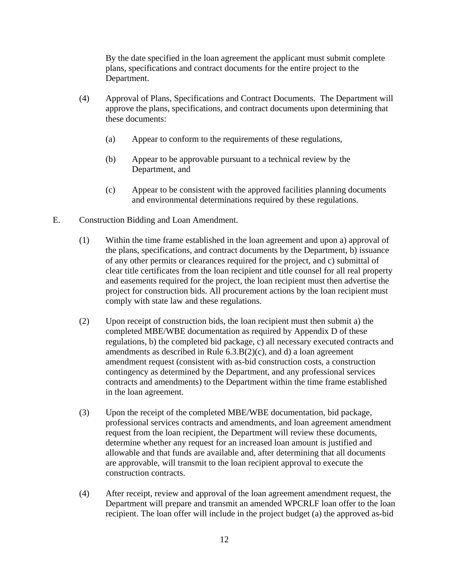By the date specified in the loan agreement the applicant must submit complete plans, specifications and contract documents for the entire project to the Department.

- (4) Approval of Plans, Specifications and Contract Documents. The Department will approve the plans, specifications, and contract documents upon determining that these documents:
	- (a) Appear to conform to the requirements of these regulations,
	- (b) Appear to be approvable pursuant to a technical review by the Department, and
	- (c) Appear to be consistent with the approved facilities planning documents and environmental determinations required by these regulations.
- E. Construction Bidding and Loan Amendment.
	- (1) Within the time frame established in the loan agreement and upon a) approval of the plans, specifications, and contract documents by the Department, b) issuance of any other permits or clearances required for the project, and c) submittal of clear title certificates from the loan recipient and title counsel for all real property and easements required for the project, the loan recipient must then advertise the project for construction bids. All procurement actions by the loan recipient must comply with state law and these regulations.
	- (2) Upon receipt of construction bids, the loan recipient must then submit a) the completed MBE/WBE documentation as required by Appendix D of these regulations, b) the completed bid package, c) all necessary executed contracts and amendments as described in Rule 6.3.B(2)(c), and d) a loan agreement amendment request (consistent with as-bid construction costs, a construction contingency as determined by the Department, and any professional services contracts and amendments) to the Department within the time frame established in the loan agreement.
	- (3) Upon the receipt of the completed MBE/WBE documentation, bid package, professional services contracts and amendments, and loan agreement amendment request from the loan recipient, the Department will review these documents, determine whether any request for an increased loan amount is justified and allowable and that funds are available and, after determining that all documents are approvable, will transmit to the loan recipient approval to execute the construction contracts.
	- (4) After receipt, review and approval of the loan agreement amendment request, the Department will prepare and transmit an amended WPCRLF loan offer to the loan recipient. The loan offer will include in the project budget (a) the approved as-bid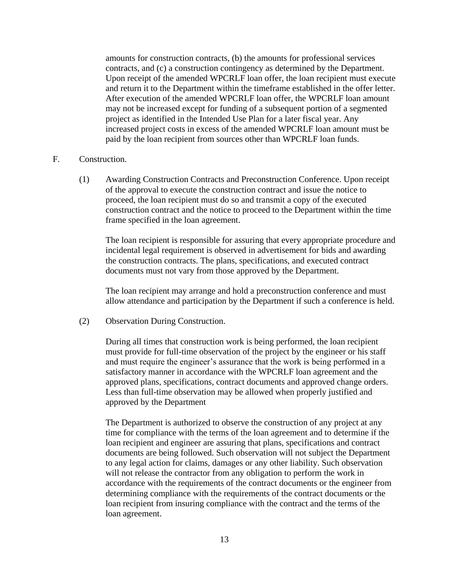amounts for construction contracts, (b) the amounts for professional services contracts, and (c) a construction contingency as determined by the Department. Upon receipt of the amended WPCRLF loan offer, the loan recipient must execute and return it to the Department within the timeframe established in the offer letter. After execution of the amended WPCRLF loan offer, the WPCRLF loan amount may not be increased except for funding of a subsequent portion of a segmented project as identified in the Intended Use Plan for a later fiscal year. Any increased project costs in excess of the amended WPCRLF loan amount must be paid by the loan recipient from sources other than WPCRLF loan funds.

#### F. Construction.

(1) Awarding Construction Contracts and Preconstruction Conference. Upon receipt of the approval to execute the construction contract and issue the notice to proceed, the loan recipient must do so and transmit a copy of the executed construction contract and the notice to proceed to the Department within the time frame specified in the loan agreement.

The loan recipient is responsible for assuring that every appropriate procedure and incidental legal requirement is observed in advertisement for bids and awarding the construction contracts. The plans, specifications, and executed contract documents must not vary from those approved by the Department.

The loan recipient may arrange and hold a preconstruction conference and must allow attendance and participation by the Department if such a conference is held.

(2) Observation During Construction.

During all times that construction work is being performed, the loan recipient must provide for full-time observation of the project by the engineer or his staff and must require the engineer's assurance that the work is being performed in a satisfactory manner in accordance with the WPCRLF loan agreement and the approved plans, specifications, contract documents and approved change orders. Less than full-time observation may be allowed when properly justified and approved by the Department

The Department is authorized to observe the construction of any project at any time for compliance with the terms of the loan agreement and to determine if the loan recipient and engineer are assuring that plans, specifications and contract documents are being followed. Such observation will not subject the Department to any legal action for claims, damages or any other liability. Such observation will not release the contractor from any obligation to perform the work in accordance with the requirements of the contract documents or the engineer from determining compliance with the requirements of the contract documents or the loan recipient from insuring compliance with the contract and the terms of the loan agreement.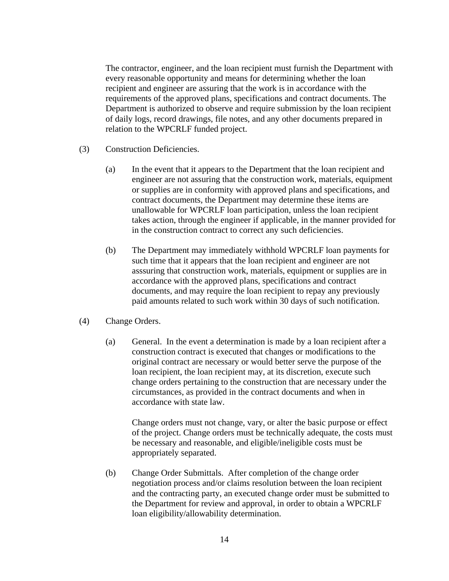The contractor, engineer, and the loan recipient must furnish the Department with every reasonable opportunity and means for determining whether the loan recipient and engineer are assuring that the work is in accordance with the requirements of the approved plans, specifications and contract documents. The Department is authorized to observe and require submission by the loan recipient of daily logs, record drawings, file notes, and any other documents prepared in relation to the WPCRLF funded project.

- (3) Construction Deficiencies.
	- (a) In the event that it appears to the Department that the loan recipient and engineer are not assuring that the construction work, materials, equipment or supplies are in conformity with approved plans and specifications, and contract documents, the Department may determine these items are unallowable for WPCRLF loan participation, unless the loan recipient takes action, through the engineer if applicable, in the manner provided for in the construction contract to correct any such deficiencies.
	- (b) The Department may immediately withhold WPCRLF loan payments for such time that it appears that the loan recipient and engineer are not asssuring that construction work, materials, equipment or supplies are in accordance with the approved plans, specifications and contract documents, and may require the loan recipient to repay any previously paid amounts related to such work within 30 days of such notification.
- (4) Change Orders.
	- (a) General. In the event a determination is made by a loan recipient after a construction contract is executed that changes or modifications to the original contract are necessary or would better serve the purpose of the loan recipient, the loan recipient may, at its discretion, execute such change orders pertaining to the construction that are necessary under the circumstances, as provided in the contract documents and when in accordance with state law.

Change orders must not change, vary, or alter the basic purpose or effect of the project. Change orders must be technically adequate, the costs must be necessary and reasonable, and eligible/ineligible costs must be appropriately separated.

(b) Change Order Submittals. After completion of the change order negotiation process and/or claims resolution between the loan recipient and the contracting party, an executed change order must be submitted to the Department for review and approval, in order to obtain a WPCRLF loan eligibility/allowability determination.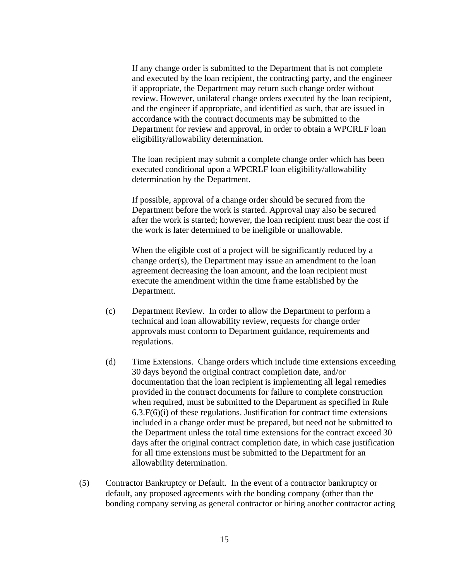If any change order is submitted to the Department that is not complete and executed by the loan recipient, the contracting party, and the engineer if appropriate, the Department may return such change order without review. However, unilateral change orders executed by the loan recipient, and the engineer if appropriate, and identified as such, that are issued in accordance with the contract documents may be submitted to the Department for review and approval, in order to obtain a WPCRLF loan eligibility/allowability determination.

The loan recipient may submit a complete change order which has been executed conditional upon a WPCRLF loan eligibility/allowability determination by the Department.

If possible, approval of a change order should be secured from the Department before the work is started. Approval may also be secured after the work is started; however, the loan recipient must bear the cost if the work is later determined to be ineligible or unallowable.

When the eligible cost of a project will be significantly reduced by a change order(s), the Department may issue an amendment to the loan agreement decreasing the loan amount, and the loan recipient must execute the amendment within the time frame established by the Department.

- (c) Department Review. In order to allow the Department to perform a technical and loan allowability review, requests for change order approvals must conform to Department guidance, requirements and regulations.
- (d) Time Extensions. Change orders which include time extensions exceeding 30 days beyond the original contract completion date, and/or documentation that the loan recipient is implementing all legal remedies provided in the contract documents for failure to complete construction when required, must be submitted to the Department as specified in Rule 6.3.F(6)(i) of these regulations. Justification for contract time extensions included in a change order must be prepared, but need not be submitted to the Department unless the total time extensions for the contract exceed 30 days after the original contract completion date, in which case justification for all time extensions must be submitted to the Department for an allowability determination.
- (5) Contractor Bankruptcy or Default. In the event of a contractor bankruptcy or default, any proposed agreements with the bonding company (other than the bonding company serving as general contractor or hiring another contractor acting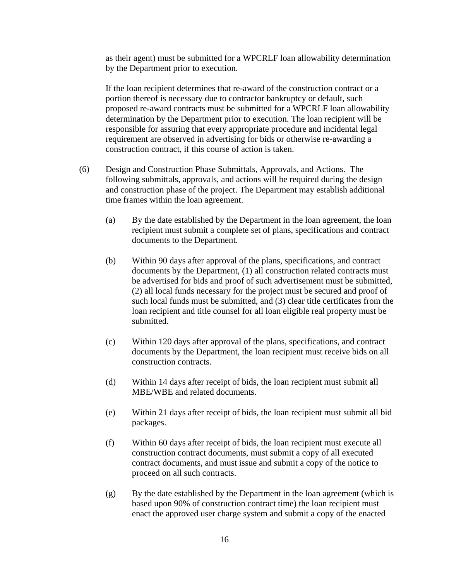as their agent) must be submitted for a WPCRLF loan allowability determination by the Department prior to execution.

If the loan recipient determines that re-award of the construction contract or a portion thereof is necessary due to contractor bankruptcy or default, such proposed re-award contracts must be submitted for a WPCRLF loan allowability determination by the Department prior to execution. The loan recipient will be responsible for assuring that every appropriate procedure and incidental legal requirement are observed in advertising for bids or otherwise re-awarding a construction contract, if this course of action is taken.

- (6) Design and Construction Phase Submittals, Approvals, and Actions. The following submittals, approvals, and actions will be required during the design and construction phase of the project. The Department may establish additional time frames within the loan agreement.
	- (a) By the date established by the Department in the loan agreement, the loan recipient must submit a complete set of plans, specifications and contract documents to the Department.
	- (b) Within 90 days after approval of the plans, specifications, and contract documents by the Department, (1) all construction related contracts must be advertised for bids and proof of such advertisement must be submitted, (2) all local funds necessary for the project must be secured and proof of such local funds must be submitted, and (3) clear title certificates from the loan recipient and title counsel for all loan eligible real property must be submitted.
	- (c) Within 120 days after approval of the plans, specifications, and contract documents by the Department, the loan recipient must receive bids on all construction contracts.
	- (d) Within 14 days after receipt of bids, the loan recipient must submit all MBE/WBE and related documents.
	- (e) Within 21 days after receipt of bids, the loan recipient must submit all bid packages.
	- (f) Within 60 days after receipt of bids, the loan recipient must execute all construction contract documents, must submit a copy of all executed contract documents, and must issue and submit a copy of the notice to proceed on all such contracts.
	- $(g)$  By the date established by the Department in the loan agreement (which is based upon 90% of construction contract time) the loan recipient must enact the approved user charge system and submit a copy of the enacted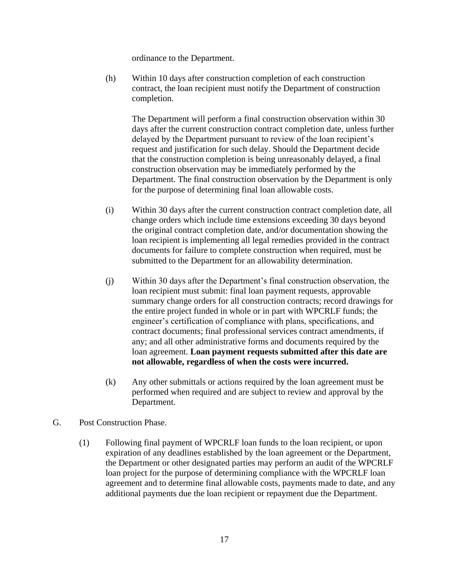ordinance to the Department.

(h) Within 10 days after construction completion of each construction contract, the loan recipient must notify the Department of construction completion.

The Department will perform a final construction observation within 30 days after the current construction contract completion date, unless further delayed by the Department pursuant to review of the loan recipient's request and justification for such delay. Should the Department decide that the construction completion is being unreasonably delayed, a final construction observation may be immediately performed by the Department. The final construction observation by the Department is only for the purpose of determining final loan allowable costs.

- (i) Within 30 days after the current construction contract completion date, all change orders which include time extensions exceeding 30 days beyond the original contract completion date, and/or documentation showing the loan recipient is implementing all legal remedies provided in the contract documents for failure to complete construction when required, must be submitted to the Department for an allowability determination.
- (j) Within 30 days after the Department's final construction observation, the loan recipient must submit: final loan payment requests, approvable summary change orders for all construction contracts; record drawings for the entire project funded in whole or in part with WPCRLF funds; the engineer's certification of compliance with plans, specifications, and contract documents; final professional services contract amendments, if any; and all other administrative forms and documents required by the loan agreement. **Loan payment requests submitted after this date are not allowable, regardless of when the costs were incurred.**
- (k) Any other submittals or actions required by the loan agreement must be performed when required and are subject to review and approval by the Department.
- G. Post Construction Phase.
	- (1) Following final payment of WPCRLF loan funds to the loan recipient, or upon expiration of any deadlines established by the loan agreement or the Department, the Department or other designated parties may perform an audit of the WPCRLF loan project for the purpose of determining compliance with the WPCRLF loan agreement and to determine final allowable costs, payments made to date, and any additional payments due the loan recipient or repayment due the Department.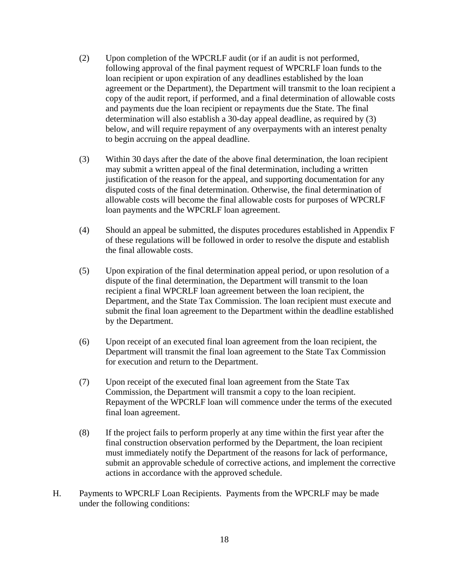- (2) Upon completion of the WPCRLF audit (or if an audit is not performed, following approval of the final payment request of WPCRLF loan funds to the loan recipient or upon expiration of any deadlines established by the loan agreement or the Department), the Department will transmit to the loan recipient a copy of the audit report, if performed, and a final determination of allowable costs and payments due the loan recipient or repayments due the State. The final determination will also establish a 30-day appeal deadline, as required by (3) below, and will require repayment of any overpayments with an interest penalty to begin accruing on the appeal deadline.
- (3) Within 30 days after the date of the above final determination, the loan recipient may submit a written appeal of the final determination, including a written justification of the reason for the appeal, and supporting documentation for any disputed costs of the final determination. Otherwise, the final determination of allowable costs will become the final allowable costs for purposes of WPCRLF loan payments and the WPCRLF loan agreement.
- (4) Should an appeal be submitted, the disputes procedures established in Appendix F of these regulations will be followed in order to resolve the dispute and establish the final allowable costs.
- (5) Upon expiration of the final determination appeal period, or upon resolution of a dispute of the final determination, the Department will transmit to the loan recipient a final WPCRLF loan agreement between the loan recipient, the Department, and the State Tax Commission. The loan recipient must execute and submit the final loan agreement to the Department within the deadline established by the Department.
- (6) Upon receipt of an executed final loan agreement from the loan recipient, the Department will transmit the final loan agreement to the State Tax Commission for execution and return to the Department.
- (7) Upon receipt of the executed final loan agreement from the State Tax Commission, the Department will transmit a copy to the loan recipient. Repayment of the WPCRLF loan will commence under the terms of the executed final loan agreement.
- (8) If the project fails to perform properly at any time within the first year after the final construction observation performed by the Department, the loan recipient must immediately notify the Department of the reasons for lack of performance, submit an approvable schedule of corrective actions, and implement the corrective actions in accordance with the approved schedule.
- H. Payments to WPCRLF Loan Recipients. Payments from the WPCRLF may be made under the following conditions: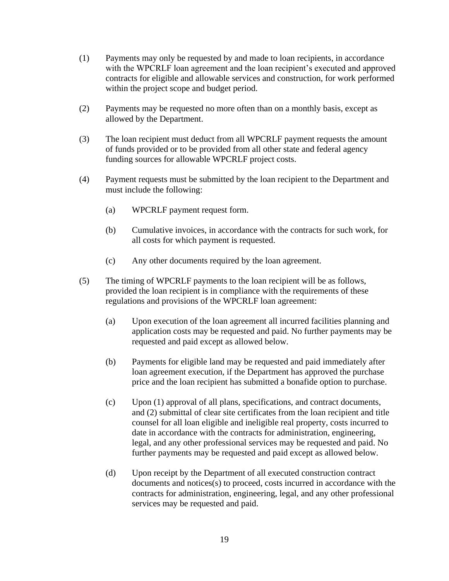- (1) Payments may only be requested by and made to loan recipients, in accordance with the WPCRLF loan agreement and the loan recipient's executed and approved contracts for eligible and allowable services and construction, for work performed within the project scope and budget period.
- (2) Payments may be requested no more often than on a monthly basis, except as allowed by the Department.
- (3) The loan recipient must deduct from all WPCRLF payment requests the amount of funds provided or to be provided from all other state and federal agency funding sources for allowable WPCRLF project costs.
- (4) Payment requests must be submitted by the loan recipient to the Department and must include the following:
	- (a) WPCRLF payment request form.
	- (b) Cumulative invoices, in accordance with the contracts for such work, for all costs for which payment is requested.
	- (c) Any other documents required by the loan agreement.
- (5) The timing of WPCRLF payments to the loan recipient will be as follows, provided the loan recipient is in compliance with the requirements of these regulations and provisions of the WPCRLF loan agreement:
	- (a) Upon execution of the loan agreement all incurred facilities planning and application costs may be requested and paid. No further payments may be requested and paid except as allowed below.
	- (b) Payments for eligible land may be requested and paid immediately after loan agreement execution, if the Department has approved the purchase price and the loan recipient has submitted a bonafide option to purchase.
	- (c) Upon (1) approval of all plans, specifications, and contract documents, and (2) submittal of clear site certificates from the loan recipient and title counsel for all loan eligible and ineligible real property, costs incurred to date in accordance with the contracts for administration, engineering, legal, and any other professional services may be requested and paid. No further payments may be requested and paid except as allowed below.
	- (d) Upon receipt by the Department of all executed construction contract documents and notices(s) to proceed, costs incurred in accordance with the contracts for administration, engineering, legal, and any other professional services may be requested and paid.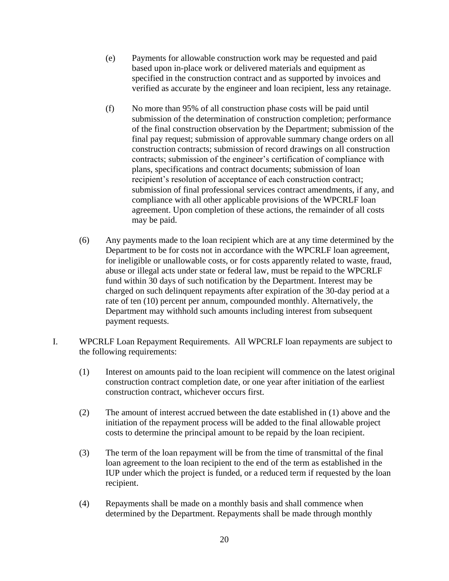- (e) Payments for allowable construction work may be requested and paid based upon in-place work or delivered materials and equipment as specified in the construction contract and as supported by invoices and verified as accurate by the engineer and loan recipient, less any retainage.
- (f) No more than 95% of all construction phase costs will be paid until submission of the determination of construction completion; performance of the final construction observation by the Department; submission of the final pay request; submission of approvable summary change orders on all construction contracts; submission of record drawings on all construction contracts; submission of the engineer's certification of compliance with plans, specifications and contract documents; submission of loan recipient's resolution of acceptance of each construction contract; submission of final professional services contract amendments, if any, and compliance with all other applicable provisions of the WPCRLF loan agreement. Upon completion of these actions, the remainder of all costs may be paid.
- (6) Any payments made to the loan recipient which are at any time determined by the Department to be for costs not in accordance with the WPCRLF loan agreement, for ineligible or unallowable costs, or for costs apparently related to waste, fraud, abuse or illegal acts under state or federal law, must be repaid to the WPCRLF fund within 30 days of such notification by the Department. Interest may be charged on such delinquent repayments after expiration of the 30-day period at a rate of ten (10) percent per annum, compounded monthly. Alternatively, the Department may withhold such amounts including interest from subsequent payment requests.
- I. WPCRLF Loan Repayment Requirements. All WPCRLF loan repayments are subject to the following requirements:
	- (1) Interest on amounts paid to the loan recipient will commence on the latest original construction contract completion date, or one year after initiation of the earliest construction contract, whichever occurs first.
	- (2) The amount of interest accrued between the date established in (1) above and the initiation of the repayment process will be added to the final allowable project costs to determine the principal amount to be repaid by the loan recipient.
	- (3) The term of the loan repayment will be from the time of transmittal of the final loan agreement to the loan recipient to the end of the term as established in the IUP under which the project is funded, or a reduced term if requested by the loan recipient.
	- (4) Repayments shall be made on a monthly basis and shall commence when determined by the Department. Repayments shall be made through monthly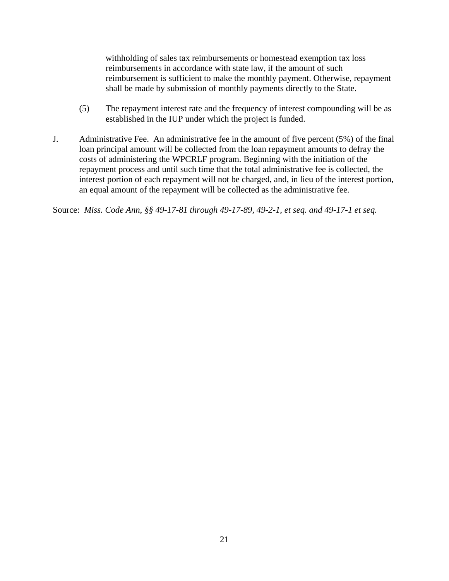withholding of sales tax reimbursements or homestead exemption tax loss reimbursements in accordance with state law, if the amount of such reimbursement is sufficient to make the monthly payment. Otherwise, repayment shall be made by submission of monthly payments directly to the State.

- (5) The repayment interest rate and the frequency of interest compounding will be as established in the IUP under which the project is funded.
- J. Administrative Fee. An administrative fee in the amount of five percent (5%) of the final loan principal amount will be collected from the loan repayment amounts to defray the costs of administering the WPCRLF program. Beginning with the initiation of the repayment process and until such time that the total administrative fee is collected, the interest portion of each repayment will not be charged, and, in lieu of the interest portion, an equal amount of the repayment will be collected as the administrative fee.

Source: *Miss. Code Ann, §§ 49-17-81 through 49-17-89, 49-2-1, et seq. and 49-17-1 et seq.*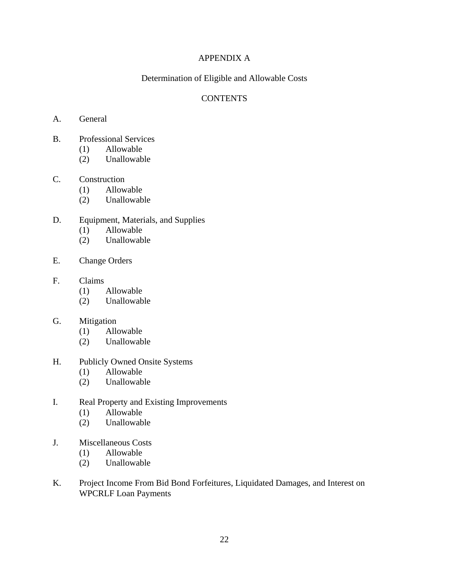# APPENDIX A

# Determination of Eligible and Allowable Costs

## **CONTENTS**

- A. General
- B. Professional Services
	- (1) Allowable
	- (2) Unallowable

#### C. Construction

- (1) Allowable
	- (2) Unallowable
- D. Equipment, Materials, and Supplies
	- (1) Allowable
	- (2) Unallowable
- E. Change Orders

#### F. Claims

- (1) Allowable
- (2) Unallowable

#### G. Mitigation

- (1) Allowable
- (2) Unallowable

#### H. Publicly Owned Onsite Systems

- (1) Allowable
- (2) Unallowable
- I. Real Property and Existing Improvements
	- (1) Allowable
	- (2) Unallowable
- J. Miscellaneous Costs
	- (1) Allowable
	- (2) Unallowable
- K. Project Income From Bid Bond Forfeitures, Liquidated Damages, and Interest on WPCRLF Loan Payments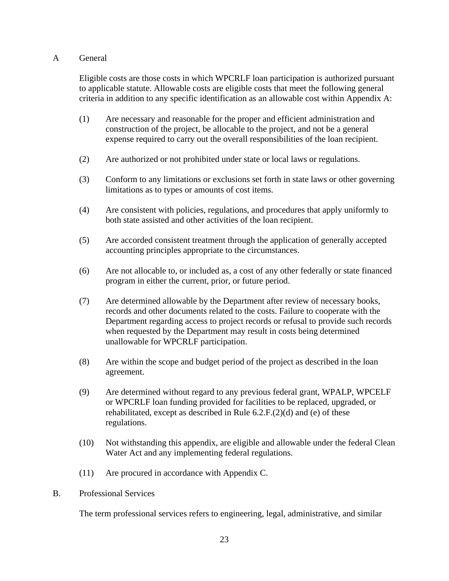# A General

Eligible costs are those costs in which WPCRLF loan participation is authorized pursuant to applicable statute. Allowable costs are eligible costs that meet the following general criteria in addition to any specific identification as an allowable cost within Appendix A:

- (1) Are necessary and reasonable for the proper and efficient administration and construction of the project, be allocable to the project, and not be a general expense required to carry out the overall responsibilities of the loan recipient.
- (2) Are authorized or not prohibited under state or local laws or regulations.
- (3) Conform to any limitations or exclusions set forth in state laws or other governing limitations as to types or amounts of cost items.
- (4) Are consistent with policies, regulations, and procedures that apply uniformly to both state assisted and other activities of the loan recipient.
- (5) Are accorded consistent treatment through the application of generally accepted accounting principles appropriate to the circumstances.
- (6) Are not allocable to, or included as, a cost of any other federally or state financed program in either the current, prior, or future period.
- (7) Are determined allowable by the Department after review of necessary books, records and other documents related to the costs. Failure to cooperate with the Department regarding access to project records or refusal to provide such records when requested by the Department may result in costs being determined unallowable for WPCRLF participation.
- (8) Are within the scope and budget period of the project as described in the loan agreement.
- (9) Are determined without regard to any previous federal grant, WPALP, WPCELF or WPCRLF loan funding provided for facilities to be replaced, upgraded, or rehabilitated, except as described in Rule 6.2.F.(2)(d) and (e) of these regulations.
- (10) Not withstanding this appendix, are eligible and allowable under the federal Clean Water Act and any implementing federal regulations.
- (11) Are procured in accordance with Appendix C.
- B. Professional Services

The term professional services refers to engineering, legal, administrative, and similar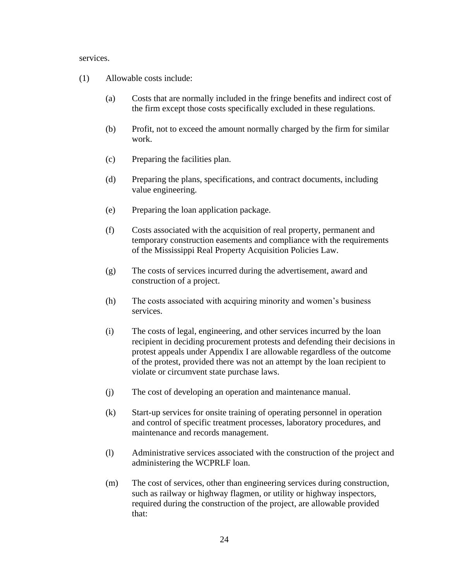services.

- (1) Allowable costs include:
	- (a) Costs that are normally included in the fringe benefits and indirect cost of the firm except those costs specifically excluded in these regulations.
	- (b) Profit, not to exceed the amount normally charged by the firm for similar work.
	- (c) Preparing the facilities plan.
	- (d) Preparing the plans, specifications, and contract documents, including value engineering.
	- (e) Preparing the loan application package.
	- (f) Costs associated with the acquisition of real property, permanent and temporary construction easements and compliance with the requirements of the Mississippi Real Property Acquisition Policies Law.
	- (g) The costs of services incurred during the advertisement, award and construction of a project.
	- (h) The costs associated with acquiring minority and women's business services.
	- (i) The costs of legal, engineering, and other services incurred by the loan recipient in deciding procurement protests and defending their decisions in protest appeals under Appendix I are allowable regardless of the outcome of the protest, provided there was not an attempt by the loan recipient to violate or circumvent state purchase laws.
	- (j) The cost of developing an operation and maintenance manual.
	- (k) Start-up services for onsite training of operating personnel in operation and control of specific treatment processes, laboratory procedures, and maintenance and records management.
	- (l) Administrative services associated with the construction of the project and administering the WCPRLF loan.
	- (m) The cost of services, other than engineering services during construction, such as railway or highway flagmen, or utility or highway inspectors, required during the construction of the project, are allowable provided that: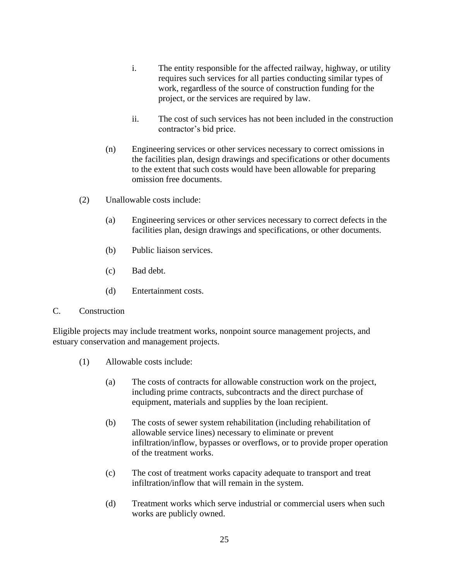- i. The entity responsible for the affected railway, highway, or utility requires such services for all parties conducting similar types of work, regardless of the source of construction funding for the project, or the services are required by law.
- ii. The cost of such services has not been included in the construction contractor's bid price.
- (n) Engineering services or other services necessary to correct omissions in the facilities plan, design drawings and specifications or other documents to the extent that such costs would have been allowable for preparing omission free documents.
- (2) Unallowable costs include:
	- (a) Engineering services or other services necessary to correct defects in the facilities plan, design drawings and specifications, or other documents.
	- (b) Public liaison services.
	- (c) Bad debt.
	- (d) Entertainment costs.

#### C. Construction

Eligible projects may include treatment works, nonpoint source management projects, and estuary conservation and management projects.

- (1) Allowable costs include:
	- (a) The costs of contracts for allowable construction work on the project, including prime contracts, subcontracts and the direct purchase of equipment, materials and supplies by the loan recipient.
	- (b) The costs of sewer system rehabilitation (including rehabilitation of allowable service lines) necessary to eliminate or prevent infiltration/inflow, bypasses or overflows, or to provide proper operation of the treatment works.
	- (c) The cost of treatment works capacity adequate to transport and treat infiltration/inflow that will remain in the system.
	- (d) Treatment works which serve industrial or commercial users when such works are publicly owned.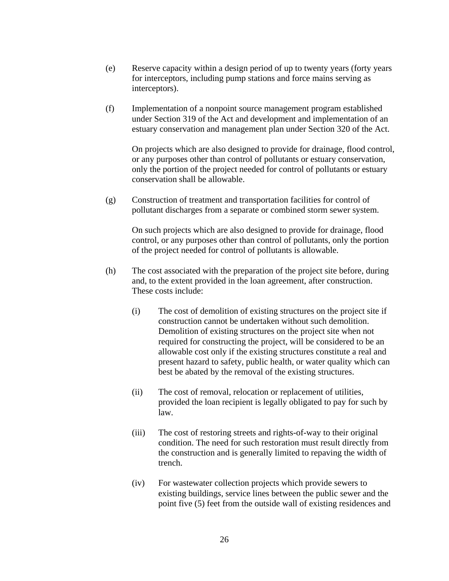- (e) Reserve capacity within a design period of up to twenty years (forty years for interceptors, including pump stations and force mains serving as interceptors).
- (f) Implementation of a nonpoint source management program established under Section 319 of the Act and development and implementation of an estuary conservation and management plan under Section 320 of the Act.

On projects which are also designed to provide for drainage, flood control, or any purposes other than control of pollutants or estuary conservation, only the portion of the project needed for control of pollutants or estuary conservation shall be allowable.

(g) Construction of treatment and transportation facilities for control of pollutant discharges from a separate or combined storm sewer system.

On such projects which are also designed to provide for drainage, flood control, or any purposes other than control of pollutants, only the portion of the project needed for control of pollutants is allowable.

- (h) The cost associated with the preparation of the project site before, during and, to the extent provided in the loan agreement, after construction. These costs include:
	- (i) The cost of demolition of existing structures on the project site if construction cannot be undertaken without such demolition. Demolition of existing structures on the project site when not required for constructing the project, will be considered to be an allowable cost only if the existing structures constitute a real and present hazard to safety, public health, or water quality which can best be abated by the removal of the existing structures.
	- (ii) The cost of removal, relocation or replacement of utilities, provided the loan recipient is legally obligated to pay for such by law.
	- (iii) The cost of restoring streets and rights-of-way to their original condition. The need for such restoration must result directly from the construction and is generally limited to repaving the width of trench.
	- (iv) For wastewater collection projects which provide sewers to existing buildings, service lines between the public sewer and the point five (5) feet from the outside wall of existing residences and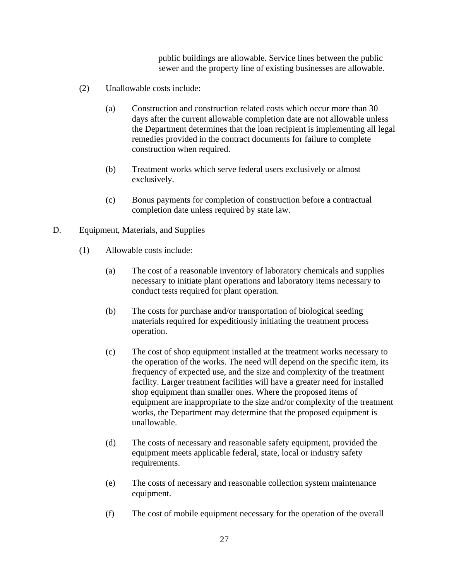public buildings are allowable. Service lines between the public sewer and the property line of existing businesses are allowable.

- (2) Unallowable costs include:
	- (a) Construction and construction related costs which occur more than 30 days after the current allowable completion date are not allowable unless the Department determines that the loan recipient is implementing all legal remedies provided in the contract documents for failure to complete construction when required.
	- (b) Treatment works which serve federal users exclusively or almost exclusively.
	- (c) Bonus payments for completion of construction before a contractual completion date unless required by state law.
- D. Equipment, Materials, and Supplies
	- (1) Allowable costs include:
		- (a) The cost of a reasonable inventory of laboratory chemicals and supplies necessary to initiate plant operations and laboratory items necessary to conduct tests required for plant operation.
		- (b) The costs for purchase and/or transportation of biological seeding materials required for expeditiously initiating the treatment process operation.
		- (c) The cost of shop equipment installed at the treatment works necessary to the operation of the works. The need will depend on the specific item, its frequency of expected use, and the size and complexity of the treatment facility. Larger treatment facilities will have a greater need for installed shop equipment than smaller ones. Where the proposed items of equipment are inappropriate to the size and/or complexity of the treatment works, the Department may determine that the proposed equipment is unallowable.
		- (d) The costs of necessary and reasonable safety equipment, provided the equipment meets applicable federal, state, local or industry safety requirements.
		- (e) The costs of necessary and reasonable collection system maintenance equipment.
		- (f) The cost of mobile equipment necessary for the operation of the overall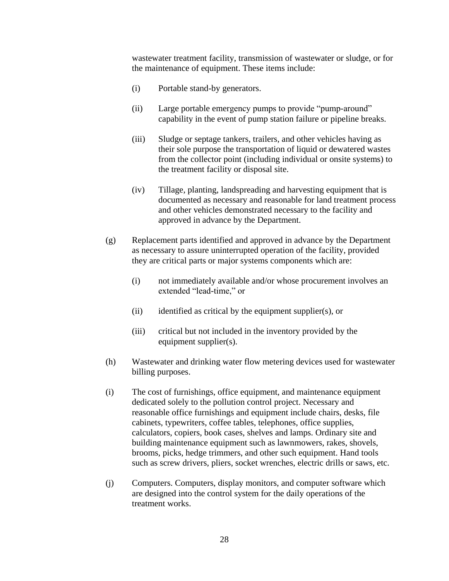wastewater treatment facility, transmission of wastewater or sludge, or for the maintenance of equipment. These items include:

- (i) Portable stand-by generators.
- (ii) Large portable emergency pumps to provide "pump-around" capability in the event of pump station failure or pipeline breaks.
- (iii) Sludge or septage tankers, trailers, and other vehicles having as their sole purpose the transportation of liquid or dewatered wastes from the collector point (including individual or onsite systems) to the treatment facility or disposal site.
- (iv) Tillage, planting, landspreading and harvesting equipment that is documented as necessary and reasonable for land treatment process and other vehicles demonstrated necessary to the facility and approved in advance by the Department.
- (g) Replacement parts identified and approved in advance by the Department as necessary to assure uninterrupted operation of the facility, provided they are critical parts or major systems components which are:
	- (i) not immediately available and/or whose procurement involves an extended "lead-time," or
	- (ii) identified as critical by the equipment supplier(s), or
	- (iii) critical but not included in the inventory provided by the equipment supplier(s).
- (h) Wastewater and drinking water flow metering devices used for wastewater billing purposes.
- (i) The cost of furnishings, office equipment, and maintenance equipment dedicated solely to the pollution control project. Necessary and reasonable office furnishings and equipment include chairs, desks, file cabinets, typewriters, coffee tables, telephones, office supplies, calculators, copiers, book cases, shelves and lamps. Ordinary site and building maintenance equipment such as lawnmowers, rakes, shovels, brooms, picks, hedge trimmers, and other such equipment. Hand tools such as screw drivers, pliers, socket wrenches, electric drills or saws, etc.
- (j) Computers. Computers, display monitors, and computer software which are designed into the control system for the daily operations of the treatment works.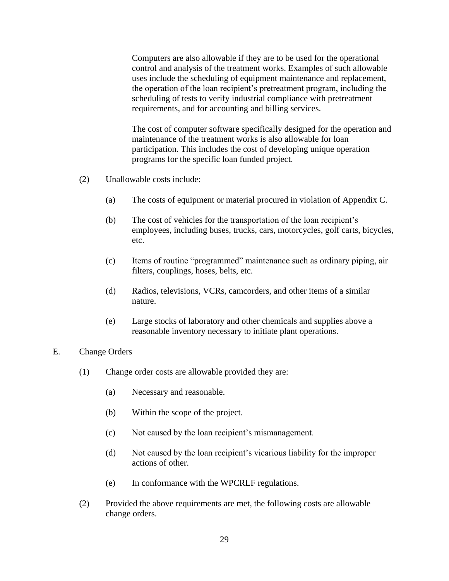Computers are also allowable if they are to be used for the operational control and analysis of the treatment works. Examples of such allowable uses include the scheduling of equipment maintenance and replacement, the operation of the loan recipient's pretreatment program, including the scheduling of tests to verify industrial compliance with pretreatment requirements, and for accounting and billing services.

The cost of computer software specifically designed for the operation and maintenance of the treatment works is also allowable for loan participation. This includes the cost of developing unique operation programs for the specific loan funded project.

- (2) Unallowable costs include:
	- (a) The costs of equipment or material procured in violation of Appendix C.
	- (b) The cost of vehicles for the transportation of the loan recipient's employees, including buses, trucks, cars, motorcycles, golf carts, bicycles, etc.
	- (c) Items of routine "programmed" maintenance such as ordinary piping, air filters, couplings, hoses, belts, etc.
	- (d) Radios, televisions, VCRs, camcorders, and other items of a similar nature.
	- (e) Large stocks of laboratory and other chemicals and supplies above a reasonable inventory necessary to initiate plant operations.
- E. Change Orders
	- (1) Change order costs are allowable provided they are:
		- (a) Necessary and reasonable.
		- (b) Within the scope of the project.
		- (c) Not caused by the loan recipient's mismanagement.
		- (d) Not caused by the loan recipient's vicarious liability for the improper actions of other.
		- (e) In conformance with the WPCRLF regulations.
	- (2) Provided the above requirements are met, the following costs are allowable change orders.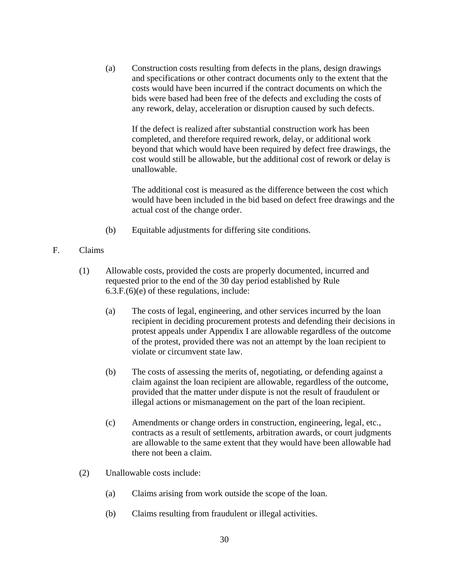(a) Construction costs resulting from defects in the plans, design drawings and specifications or other contract documents only to the extent that the costs would have been incurred if the contract documents on which the bids were based had been free of the defects and excluding the costs of any rework, delay, acceleration or disruption caused by such defects.

If the defect is realized after substantial construction work has been completed, and therefore required rework, delay, or additional work beyond that which would have been required by defect free drawings, the cost would still be allowable, but the additional cost of rework or delay is unallowable.

The additional cost is measured as the difference between the cost which would have been included in the bid based on defect free drawings and the actual cost of the change order.

- (b) Equitable adjustments for differing site conditions.
- F. Claims
	- (1) Allowable costs, provided the costs are properly documented, incurred and requested prior to the end of the 30 day period established by Rule 6.3.F.(6)(e) of these regulations, include:
		- (a) The costs of legal, engineering, and other services incurred by the loan recipient in deciding procurement protests and defending their decisions in protest appeals under Appendix I are allowable regardless of the outcome of the protest, provided there was not an attempt by the loan recipient to violate or circumvent state law.
		- (b) The costs of assessing the merits of, negotiating, or defending against a claim against the loan recipient are allowable, regardless of the outcome, provided that the matter under dispute is not the result of fraudulent or illegal actions or mismanagement on the part of the loan recipient.
		- (c) Amendments or change orders in construction, engineering, legal, etc., contracts as a result of settlements, arbitration awards, or court judgments are allowable to the same extent that they would have been allowable had there not been a claim.
	- (2) Unallowable costs include:
		- (a) Claims arising from work outside the scope of the loan.
		- (b) Claims resulting from fraudulent or illegal activities.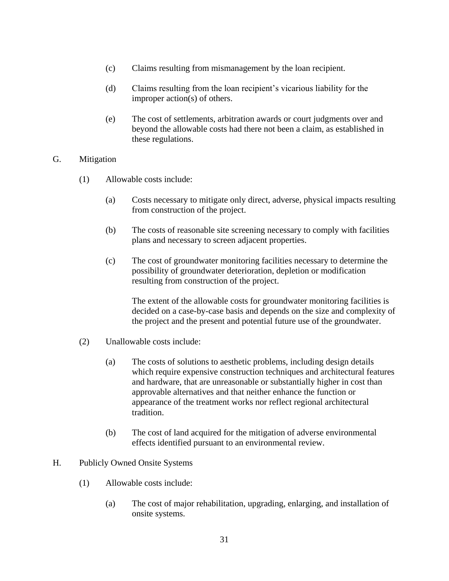- (c) Claims resulting from mismanagement by the loan recipient.
- (d) Claims resulting from the loan recipient's vicarious liability for the improper action(s) of others.
- (e) The cost of settlements, arbitration awards or court judgments over and beyond the allowable costs had there not been a claim, as established in these regulations.

#### G. Mitigation

- (1) Allowable costs include:
	- (a) Costs necessary to mitigate only direct, adverse, physical impacts resulting from construction of the project.
	- (b) The costs of reasonable site screening necessary to comply with facilities plans and necessary to screen adjacent properties.
	- (c) The cost of groundwater monitoring facilities necessary to determine the possibility of groundwater deterioration, depletion or modification resulting from construction of the project.

The extent of the allowable costs for groundwater monitoring facilities is decided on a case-by-case basis and depends on the size and complexity of the project and the present and potential future use of the groundwater.

- (2) Unallowable costs include:
	- (a) The costs of solutions to aesthetic problems, including design details which require expensive construction techniques and architectural features and hardware, that are unreasonable or substantially higher in cost than approvable alternatives and that neither enhance the function or appearance of the treatment works nor reflect regional architectural tradition.
	- (b) The cost of land acquired for the mitigation of adverse environmental effects identified pursuant to an environmental review.

#### H. Publicly Owned Onsite Systems

- (1) Allowable costs include:
	- (a) The cost of major rehabilitation, upgrading, enlarging, and installation of onsite systems.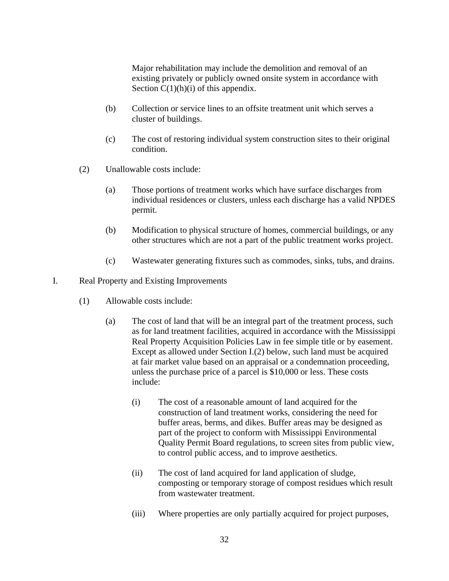Major rehabilitation may include the demolition and removal of an existing privately or publicly owned onsite system in accordance with Section  $C(1)(h)(i)$  of this appendix.

- (b) Collection or service lines to an offsite treatment unit which serves a cluster of buildings.
- (c) The cost of restoring individual system construction sites to their original condition.
- (2) Unallowable costs include:
	- (a) Those portions of treatment works which have surface discharges from individual residences or clusters, unless each discharge has a valid NPDES permit.
	- (b) Modification to physical structure of homes, commercial buildings, or any other structures which are not a part of the public treatment works project.
	- (c) Wastewater generating fixtures such as commodes, sinks, tubs, and drains.
- I. Real Property and Existing Improvements
	- (1) Allowable costs include:
		- (a) The cost of land that will be an integral part of the treatment process, such as for land treatment facilities, acquired in accordance with the Mississippi Real Property Acquisition Policies Law in fee simple title or by easement. Except as allowed under Section I.(2) below, such land must be acquired at fair market value based on an appraisal or a condemnation proceeding, unless the purchase price of a parcel is \$10,000 or less. These costs include:
			- (i) The cost of a reasonable amount of land acquired for the construction of land treatment works, considering the need for buffer areas, berms, and dikes. Buffer areas may be designed as part of the project to conform with Mississippi Environmental Quality Permit Board regulations, to screen sites from public view, to control public access, and to improve aesthetics.
			- (ii) The cost of land acquired for land application of sludge, composting or temporary storage of compost residues which result from wastewater treatment.
			- (iii) Where properties are only partially acquired for project purposes,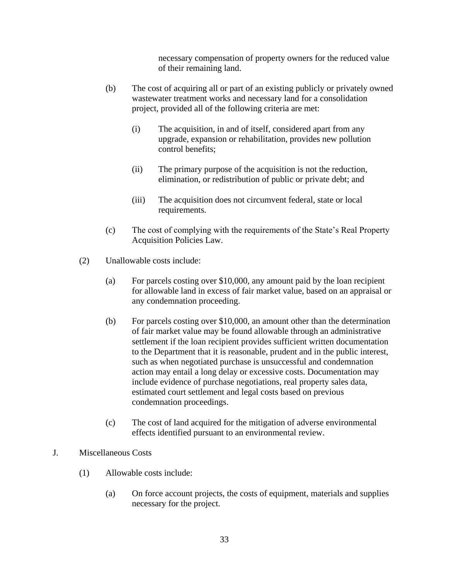necessary compensation of property owners for the reduced value of their remaining land.

- (b) The cost of acquiring all or part of an existing publicly or privately owned wastewater treatment works and necessary land for a consolidation project, provided all of the following criteria are met:
	- (i) The acquisition, in and of itself, considered apart from any upgrade, expansion or rehabilitation, provides new pollution control benefits;
	- (ii) The primary purpose of the acquisition is not the reduction, elimination, or redistribution of public or private debt; and
	- (iii) The acquisition does not circumvent federal, state or local requirements.
- (c) The cost of complying with the requirements of the State's Real Property Acquisition Policies Law.
- (2) Unallowable costs include:
	- (a) For parcels costing over \$10,000, any amount paid by the loan recipient for allowable land in excess of fair market value, based on an appraisal or any condemnation proceeding.
	- (b) For parcels costing over \$10,000, an amount other than the determination of fair market value may be found allowable through an administrative settlement if the loan recipient provides sufficient written documentation to the Department that it is reasonable, prudent and in the public interest, such as when negotiated purchase is unsuccessful and condemnation action may entail a long delay or excessive costs. Documentation may include evidence of purchase negotiations, real property sales data, estimated court settlement and legal costs based on previous condemnation proceedings.
	- (c) The cost of land acquired for the mitigation of adverse environmental effects identified pursuant to an environmental review.

# J. Miscellaneous Costs

- (1) Allowable costs include:
	- (a) On force account projects, the costs of equipment, materials and supplies necessary for the project.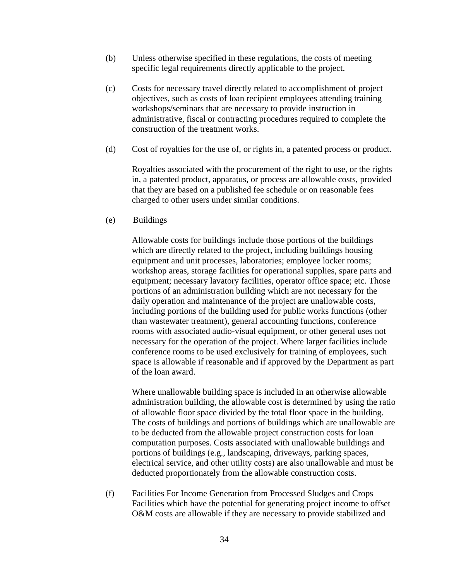- (b) Unless otherwise specified in these regulations, the costs of meeting specific legal requirements directly applicable to the project.
- (c) Costs for necessary travel directly related to accomplishment of project objectives, such as costs of loan recipient employees attending training workshops/seminars that are necessary to provide instruction in administrative, fiscal or contracting procedures required to complete the construction of the treatment works.
- (d) Cost of royalties for the use of, or rights in, a patented process or product.

Royalties associated with the procurement of the right to use, or the rights in, a patented product, apparatus, or process are allowable costs, provided that they are based on a published fee schedule or on reasonable fees charged to other users under similar conditions.

(e) Buildings

Allowable costs for buildings include those portions of the buildings which are directly related to the project, including buildings housing equipment and unit processes, laboratories; employee locker rooms; workshop areas, storage facilities for operational supplies, spare parts and equipment; necessary lavatory facilities, operator office space; etc. Those portions of an administration building which are not necessary for the daily operation and maintenance of the project are unallowable costs, including portions of the building used for public works functions (other than wastewater treatment), general accounting functions, conference rooms with associated audio-visual equipment, or other general uses not necessary for the operation of the project. Where larger facilities include conference rooms to be used exclusively for training of employees, such space is allowable if reasonable and if approved by the Department as part of the loan award.

Where unallowable building space is included in an otherwise allowable administration building, the allowable cost is determined by using the ratio of allowable floor space divided by the total floor space in the building. The costs of buildings and portions of buildings which are unallowable are to be deducted from the allowable project construction costs for loan computation purposes. Costs associated with unallowable buildings and portions of buildings (e.g., landscaping, driveways, parking spaces, electrical service, and other utility costs) are also unallowable and must be deducted proportionately from the allowable construction costs.

(f) Facilities For Income Generation from Processed Sludges and Crops Facilities which have the potential for generating project income to offset O&M costs are allowable if they are necessary to provide stabilized and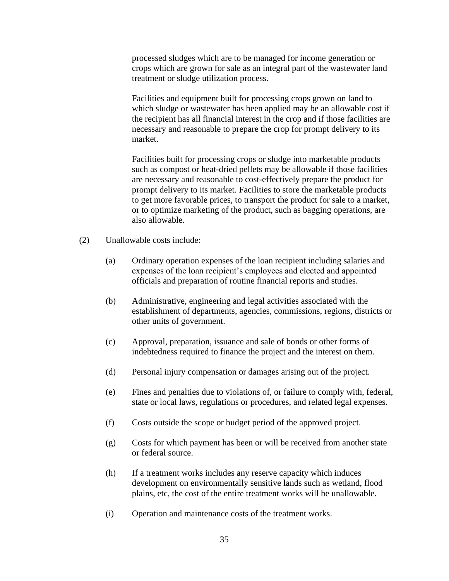processed sludges which are to be managed for income generation or crops which are grown for sale as an integral part of the wastewater land treatment or sludge utilization process.

Facilities and equipment built for processing crops grown on land to which sludge or wastewater has been applied may be an allowable cost if the recipient has all financial interest in the crop and if those facilities are necessary and reasonable to prepare the crop for prompt delivery to its market.

Facilities built for processing crops or sludge into marketable products such as compost or heat-dried pellets may be allowable if those facilities are necessary and reasonable to cost-effectively prepare the product for prompt delivery to its market. Facilities to store the marketable products to get more favorable prices, to transport the product for sale to a market, or to optimize marketing of the product, such as bagging operations, are also allowable.

- (2) Unallowable costs include:
	- (a) Ordinary operation expenses of the loan recipient including salaries and expenses of the loan recipient's employees and elected and appointed officials and preparation of routine financial reports and studies.
	- (b) Administrative, engineering and legal activities associated with the establishment of departments, agencies, commissions, regions, districts or other units of government.
	- (c) Approval, preparation, issuance and sale of bonds or other forms of indebtedness required to finance the project and the interest on them.
	- (d) Personal injury compensation or damages arising out of the project.
	- (e) Fines and penalties due to violations of, or failure to comply with, federal, state or local laws, regulations or procedures, and related legal expenses.
	- (f) Costs outside the scope or budget period of the approved project.
	- (g) Costs for which payment has been or will be received from another state or federal source.
	- (h) If a treatment works includes any reserve capacity which induces development on environmentally sensitive lands such as wetland, flood plains, etc, the cost of the entire treatment works will be unallowable.
	- (i) Operation and maintenance costs of the treatment works.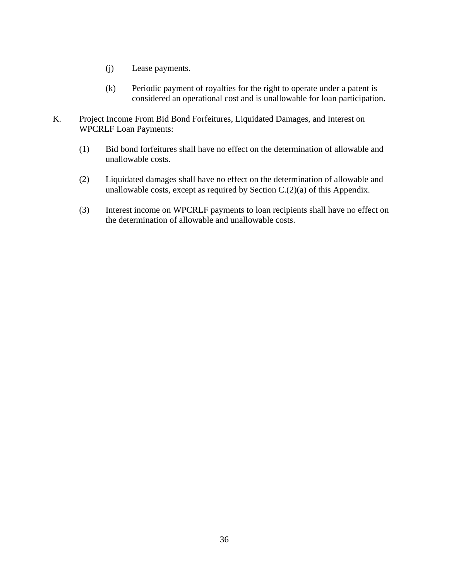- (j) Lease payments.
- (k) Periodic payment of royalties for the right to operate under a patent is considered an operational cost and is unallowable for loan participation.
- K. Project Income From Bid Bond Forfeitures, Liquidated Damages, and Interest on WPCRLF Loan Payments:
	- (1) Bid bond forfeitures shall have no effect on the determination of allowable and unallowable costs.
	- (2) Liquidated damages shall have no effect on the determination of allowable and unallowable costs, except as required by Section C.(2)(a) of this Appendix.
	- (3) Interest income on WPCRLF payments to loan recipients shall have no effect on the determination of allowable and unallowable costs.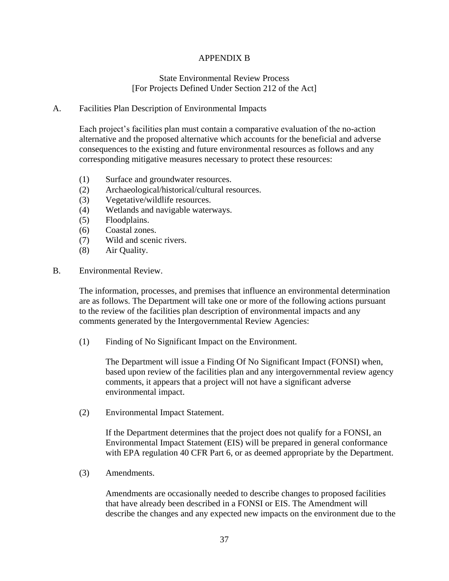# APPENDIX B

### State Environmental Review Process [For Projects Defined Under Section 212 of the Act]

#### A. Facilities Plan Description of Environmental Impacts

Each project's facilities plan must contain a comparative evaluation of the no-action alternative and the proposed alternative which accounts for the beneficial and adverse consequences to the existing and future environmental resources as follows and any corresponding mitigative measures necessary to protect these resources:

- (1) Surface and groundwater resources.
- (2) Archaeological/historical/cultural resources.
- (3) Vegetative/wildlife resources.
- (4) Wetlands and navigable waterways.
- (5) Floodplains.
- (6) Coastal zones.
- (7) Wild and scenic rivers.
- (8) Air Quality.
- B. Environmental Review.

The information, processes, and premises that influence an environmental determination are as follows. The Department will take one or more of the following actions pursuant to the review of the facilities plan description of environmental impacts and any comments generated by the Intergovernmental Review Agencies:

(1) Finding of No Significant Impact on the Environment.

The Department will issue a Finding Of No Significant Impact (FONSI) when, based upon review of the facilities plan and any intergovernmental review agency comments, it appears that a project will not have a significant adverse environmental impact.

(2) Environmental Impact Statement.

If the Department determines that the project does not qualify for a FONSI, an Environmental Impact Statement (EIS) will be prepared in general conformance with EPA regulation 40 CFR Part 6, or as deemed appropriate by the Department.

(3) Amendments.

Amendments are occasionally needed to describe changes to proposed facilities that have already been described in a FONSI or EIS. The Amendment will describe the changes and any expected new impacts on the environment due to the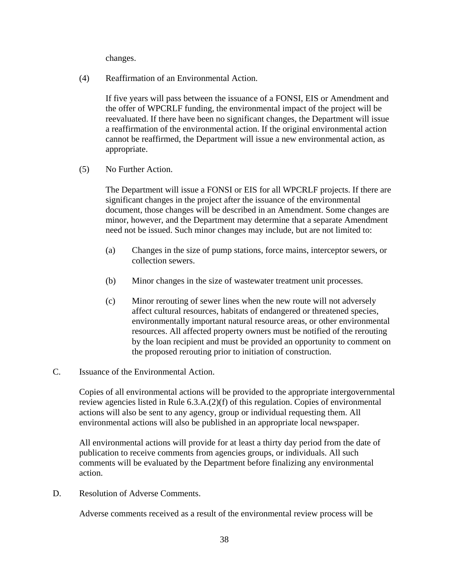changes.

(4) Reaffirmation of an Environmental Action.

If five years will pass between the issuance of a FONSI, EIS or Amendment and the offer of WPCRLF funding, the environmental impact of the project will be reevaluated. If there have been no significant changes, the Department will issue a reaffirmation of the environmental action. If the original environmental action cannot be reaffirmed, the Department will issue a new environmental action, as appropriate.

(5) No Further Action.

The Department will issue a FONSI or EIS for all WPCRLF projects. If there are significant changes in the project after the issuance of the environmental document, those changes will be described in an Amendment. Some changes are minor, however, and the Department may determine that a separate Amendment need not be issued. Such minor changes may include, but are not limited to:

- (a) Changes in the size of pump stations, force mains, interceptor sewers, or collection sewers.
- (b) Minor changes in the size of wastewater treatment unit processes.
- (c) Minor rerouting of sewer lines when the new route will not adversely affect cultural resources, habitats of endangered or threatened species, environmentally important natural resource areas, or other environmental resources. All affected property owners must be notified of the rerouting by the loan recipient and must be provided an opportunity to comment on the proposed rerouting prior to initiation of construction.
- C. Issuance of the Environmental Action.

Copies of all environmental actions will be provided to the appropriate intergovernmental review agencies listed in Rule 6.3.A.(2)(f) of this regulation. Copies of environmental actions will also be sent to any agency, group or individual requesting them. All environmental actions will also be published in an appropriate local newspaper.

All environmental actions will provide for at least a thirty day period from the date of publication to receive comments from agencies groups, or individuals. All such comments will be evaluated by the Department before finalizing any environmental action.

D. Resolution of Adverse Comments.

Adverse comments received as a result of the environmental review process will be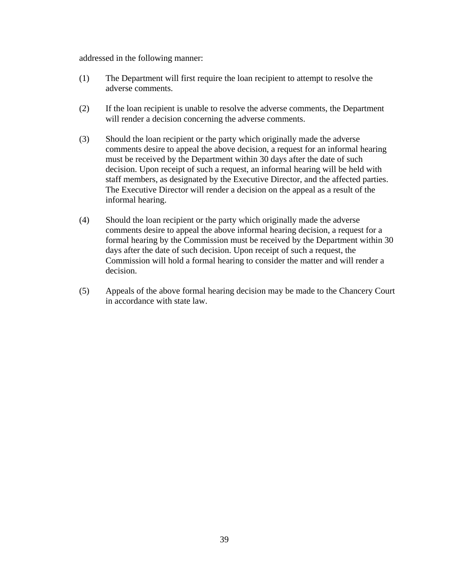addressed in the following manner:

- (1) The Department will first require the loan recipient to attempt to resolve the adverse comments.
- (2) If the loan recipient is unable to resolve the adverse comments, the Department will render a decision concerning the adverse comments.
- (3) Should the loan recipient or the party which originally made the adverse comments desire to appeal the above decision, a request for an informal hearing must be received by the Department within 30 days after the date of such decision. Upon receipt of such a request, an informal hearing will be held with staff members, as designated by the Executive Director, and the affected parties. The Executive Director will render a decision on the appeal as a result of the informal hearing.
- (4) Should the loan recipient or the party which originally made the adverse comments desire to appeal the above informal hearing decision, a request for a formal hearing by the Commission must be received by the Department within 30 days after the date of such decision. Upon receipt of such a request, the Commission will hold a formal hearing to consider the matter and will render a decision.
- (5) Appeals of the above formal hearing decision may be made to the Chancery Court in accordance with state law.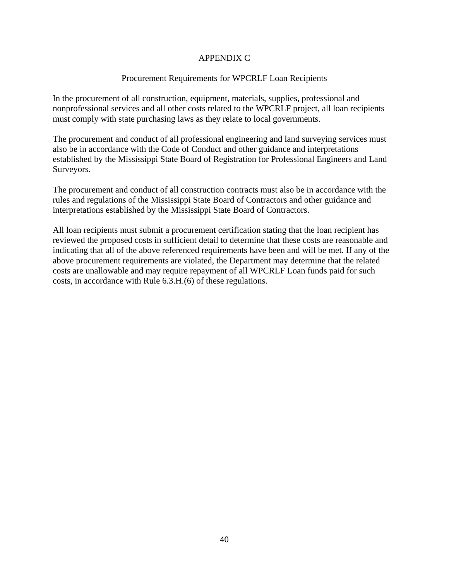# APPENDIX C

#### Procurement Requirements for WPCRLF Loan Recipients

In the procurement of all construction, equipment, materials, supplies, professional and nonprofessional services and all other costs related to the WPCRLF project, all loan recipients must comply with state purchasing laws as they relate to local governments.

The procurement and conduct of all professional engineering and land surveying services must also be in accordance with the Code of Conduct and other guidance and interpretations established by the Mississippi State Board of Registration for Professional Engineers and Land Surveyors.

The procurement and conduct of all construction contracts must also be in accordance with the rules and regulations of the Mississippi State Board of Contractors and other guidance and interpretations established by the Mississippi State Board of Contractors.

All loan recipients must submit a procurement certification stating that the loan recipient has reviewed the proposed costs in sufficient detail to determine that these costs are reasonable and indicating that all of the above referenced requirements have been and will be met. If any of the above procurement requirements are violated, the Department may determine that the related costs are unallowable and may require repayment of all WPCRLF Loan funds paid for such costs, in accordance with Rule 6.3.H.(6) of these regulations.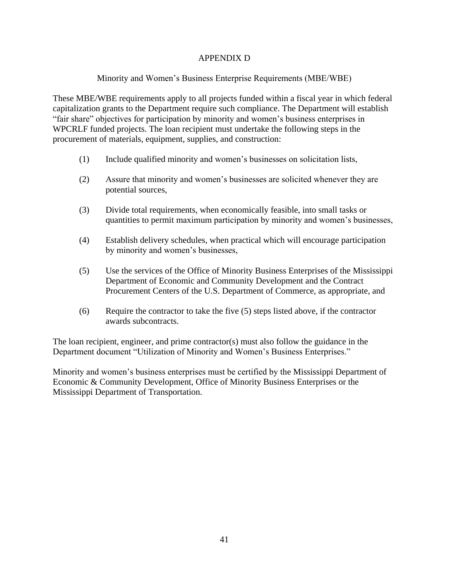# APPENDIX D

# Minority and Women's Business Enterprise Requirements (MBE/WBE)

These MBE/WBE requirements apply to all projects funded within a fiscal year in which federal capitalization grants to the Department require such compliance. The Department will establish "fair share" objectives for participation by minority and women's business enterprises in WPCRLF funded projects. The loan recipient must undertake the following steps in the procurement of materials, equipment, supplies, and construction:

- (1) Include qualified minority and women's businesses on solicitation lists,
- (2) Assure that minority and women's businesses are solicited whenever they are potential sources,
- (3) Divide total requirements, when economically feasible, into small tasks or quantities to permit maximum participation by minority and women's businesses,
- (4) Establish delivery schedules, when practical which will encourage participation by minority and women's businesses,
- (5) Use the services of the Office of Minority Business Enterprises of the Mississippi Department of Economic and Community Development and the Contract Procurement Centers of the U.S. Department of Commerce, as appropriate, and
- (6) Require the contractor to take the five (5) steps listed above, if the contractor awards subcontracts.

The loan recipient, engineer, and prime contractor(s) must also follow the guidance in the Department document "Utilization of Minority and Women's Business Enterprises."

Minority and women's business enterprises must be certified by the Mississippi Department of Economic & Community Development, Office of Minority Business Enterprises or the Mississippi Department of Transportation.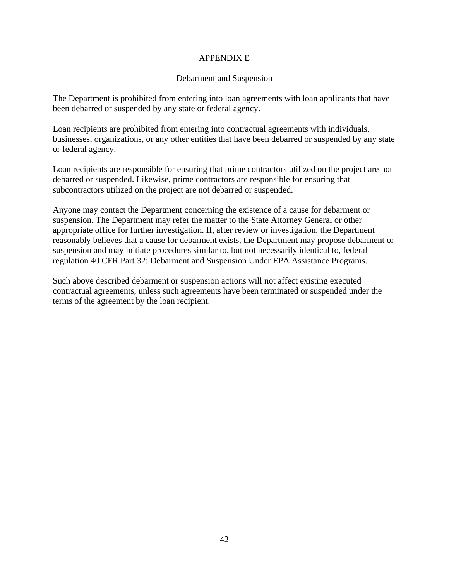# APPENDIX E

### Debarment and Suspension

The Department is prohibited from entering into loan agreements with loan applicants that have been debarred or suspended by any state or federal agency.

Loan recipients are prohibited from entering into contractual agreements with individuals, businesses, organizations, or any other entities that have been debarred or suspended by any state or federal agency.

Loan recipients are responsible for ensuring that prime contractors utilized on the project are not debarred or suspended. Likewise, prime contractors are responsible for ensuring that subcontractors utilized on the project are not debarred or suspended.

Anyone may contact the Department concerning the existence of a cause for debarment or suspension. The Department may refer the matter to the State Attorney General or other appropriate office for further investigation. If, after review or investigation, the Department reasonably believes that a cause for debarment exists, the Department may propose debarment or suspension and may initiate procedures similar to, but not necessarily identical to, federal regulation 40 CFR Part 32: Debarment and Suspension Under EPA Assistance Programs.

Such above described debarment or suspension actions will not affect existing executed contractual agreements, unless such agreements have been terminated or suspended under the terms of the agreement by the loan recipient.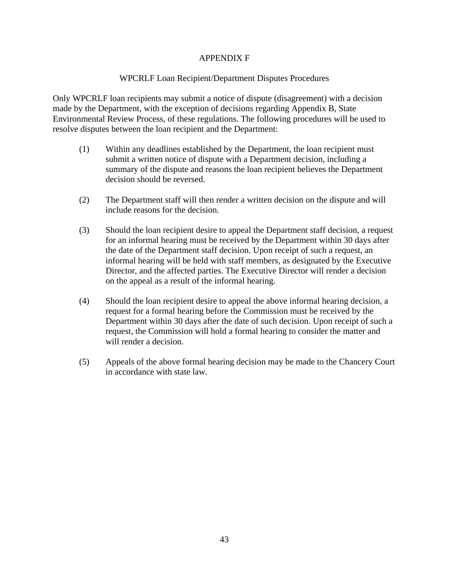# APPENDIX F

### WPCRLF Loan Recipient/Department Disputes Procedures

Only WPCRLF loan recipients may submit a notice of dispute (disagreement) with a decision made by the Department, with the exception of decisions regarding Appendix B, State Environmental Review Process, of these regulations. The following procedures will be used to resolve disputes between the loan recipient and the Department:

- (1) Within any deadlines established by the Department, the loan recipient must submit a written notice of dispute with a Department decision, including a summary of the dispute and reasons the loan recipient believes the Department decision should be reversed.
- (2) The Department staff will then render a written decision on the dispute and will include reasons for the decision.
- (3) Should the loan recipient desire to appeal the Department staff decision, a request for an informal hearing must be received by the Department within 30 days after the date of the Department staff decision. Upon receipt of such a request, an informal hearing will be held with staff members, as designated by the Executive Director, and the affected parties. The Executive Director will render a decision on the appeal as a result of the informal hearing.
- (4) Should the loan recipient desire to appeal the above informal hearing decision, a request for a formal hearing before the Commission must be received by the Department within 30 days after the date of such decision. Upon receipt of such a request, the Commission will hold a formal hearing to consider the matter and will render a decision.
- (5) Appeals of the above formal hearing decision may be made to the Chancery Court in accordance with state law.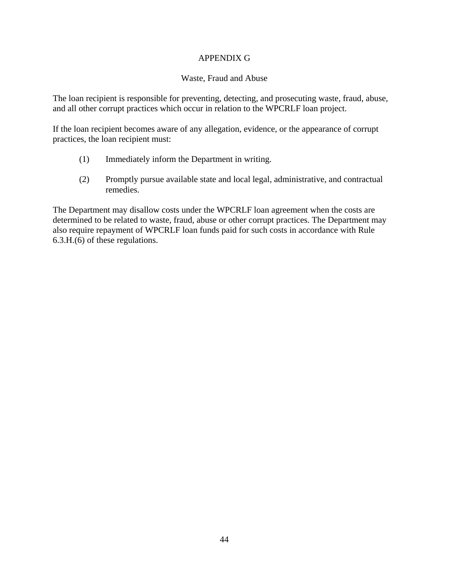## APPENDIX G

## Waste, Fraud and Abuse

The loan recipient is responsible for preventing, detecting, and prosecuting waste, fraud, abuse, and all other corrupt practices which occur in relation to the WPCRLF loan project.

If the loan recipient becomes aware of any allegation, evidence, or the appearance of corrupt practices, the loan recipient must:

- (1) Immediately inform the Department in writing.
- (2) Promptly pursue available state and local legal, administrative, and contractual remedies.

The Department may disallow costs under the WPCRLF loan agreement when the costs are determined to be related to waste, fraud, abuse or other corrupt practices. The Department may also require repayment of WPCRLF loan funds paid for such costs in accordance with Rule 6.3.H.(6) of these regulations.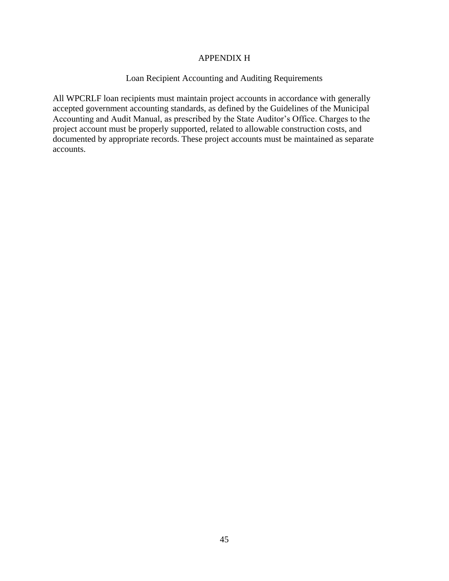### APPENDIX H

# Loan Recipient Accounting and Auditing Requirements

All WPCRLF loan recipients must maintain project accounts in accordance with generally accepted government accounting standards, as defined by the Guidelines of the Municipal Accounting and Audit Manual, as prescribed by the State Auditor's Office. Charges to the project account must be properly supported, related to allowable construction costs, and documented by appropriate records. These project accounts must be maintained as separate accounts.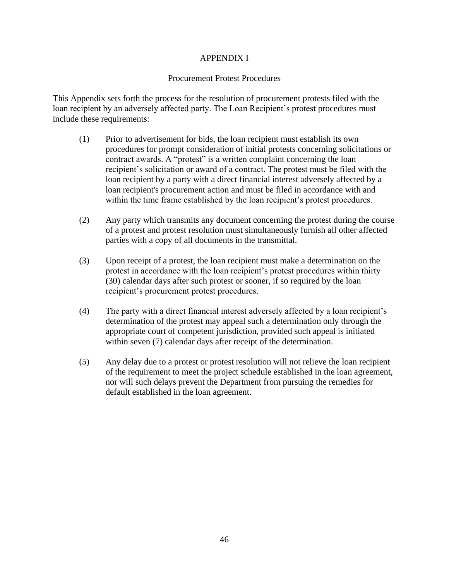### APPENDIX I

### Procurement Protest Procedures

This Appendix sets forth the process for the resolution of procurement protests filed with the loan recipient by an adversely affected party. The Loan Recipient's protest procedures must include these requirements:

- (1) Prior to advertisement for bids, the loan recipient must establish its own procedures for prompt consideration of initial protests concerning solicitations or contract awards. A "protest" is a written complaint concerning the loan recipient's solicitation or award of a contract. The protest must be filed with the loan recipient by a party with a direct financial interest adversely affected by a loan recipient's procurement action and must be filed in accordance with and within the time frame established by the loan recipient's protest procedures.
- (2) Any party which transmits any document concerning the protest during the course of a protest and protest resolution must simultaneously furnish all other affected parties with a copy of all documents in the transmittal.
- (3) Upon receipt of a protest, the loan recipient must make a determination on the protest in accordance with the loan recipient's protest procedures within thirty (30) calendar days after such protest or sooner, if so required by the loan recipient's procurement protest procedures.
- (4) The party with a direct financial interest adversely affected by a loan recipient's determination of the protest may appeal such a determination only through the appropriate court of competent jurisdiction, provided such appeal is initiated within seven (7) calendar days after receipt of the determination.
- (5) Any delay due to a protest or protest resolution will not relieve the loan recipient of the requirement to meet the project schedule established in the loan agreement, nor will such delays prevent the Department from pursuing the remedies for default established in the loan agreement.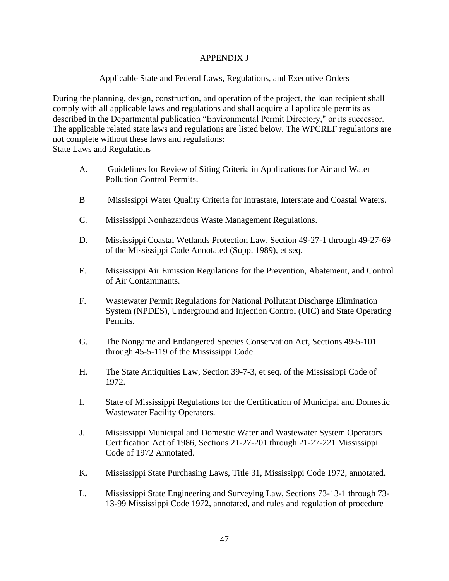# APPENDIX J

## Applicable State and Federal Laws, Regulations, and Executive Orders

During the planning, design, construction, and operation of the project, the loan recipient shall comply with all applicable laws and regulations and shall acquire all applicable permits as described in the Departmental publication "Environmental Permit Directory," or its successor. The applicable related state laws and regulations are listed below. The WPCRLF regulations are not complete without these laws and regulations:

State Laws and Regulations

- A. Guidelines for Review of Siting Criteria in Applications for Air and Water Pollution Control Permits.
- B Mississippi Water Quality Criteria for Intrastate, Interstate and Coastal Waters.
- C. Mississippi Nonhazardous Waste Management Regulations.
- D. Mississippi Coastal Wetlands Protection Law, Section 49-27-1 through 49-27-69 of the Mississippi Code Annotated (Supp. 1989), et seq.
- E. Mississippi Air Emission Regulations for the Prevention, Abatement, and Control of Air Contaminants.
- F. Wastewater Permit Regulations for National Pollutant Discharge Elimination System (NPDES), Underground and Injection Control (UIC) and State Operating Permits.
- G. The Nongame and Endangered Species Conservation Act, Sections 49-5-101 through 45-5-119 of the Mississippi Code.
- H. The State Antiquities Law, Section 39-7-3, et seq. of the Mississippi Code of 1972.
- I. State of Mississippi Regulations for the Certification of Municipal and Domestic Wastewater Facility Operators.
- J. Mississippi Municipal and Domestic Water and Wastewater System Operators Certification Act of 1986, Sections 21-27-201 through 21-27-221 Mississippi Code of 1972 Annotated.
- K. Mississippi State Purchasing Laws, Title 31, Mississippi Code 1972, annotated.
- L. Mississippi State Engineering and Surveying Law, Sections 73-13-1 through 73- 13-99 Mississippi Code 1972, annotated, and rules and regulation of procedure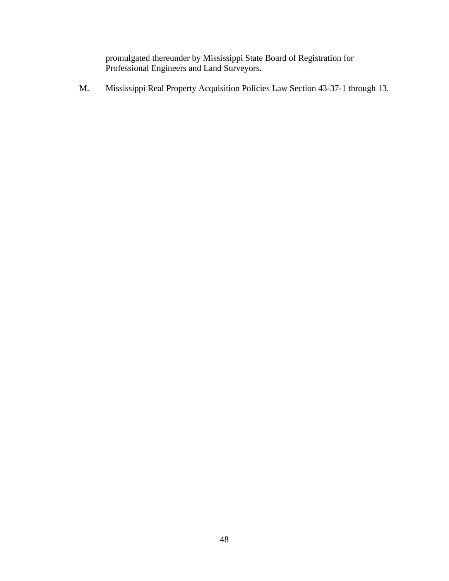promulgated thereunder by Mississippi State Board of Registration for Professional Engineers and Land Surveyors.

M. Mississippi Real Property Acquisition Policies Law Section 43-37-1 through 13.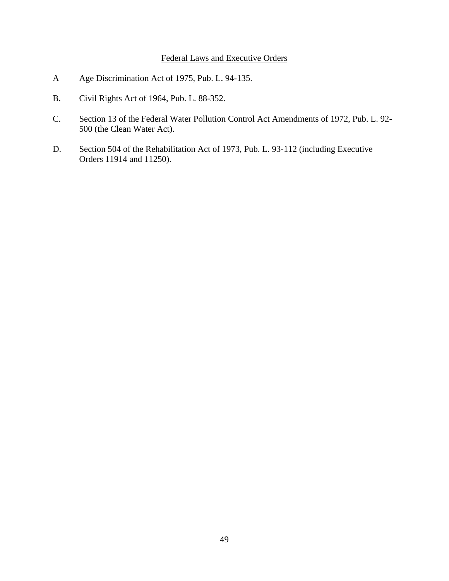# Federal Laws and Executive Orders

- A Age Discrimination Act of 1975, Pub. L. 94-135.
- B. Civil Rights Act of 1964, Pub. L. 88-352.
- C. Section 13 of the Federal Water Pollution Control Act Amendments of 1972, Pub. L. 92- 500 (the Clean Water Act).
- D. Section 504 of the Rehabilitation Act of 1973, Pub. L. 93-112 (including Executive Orders 11914 and 11250).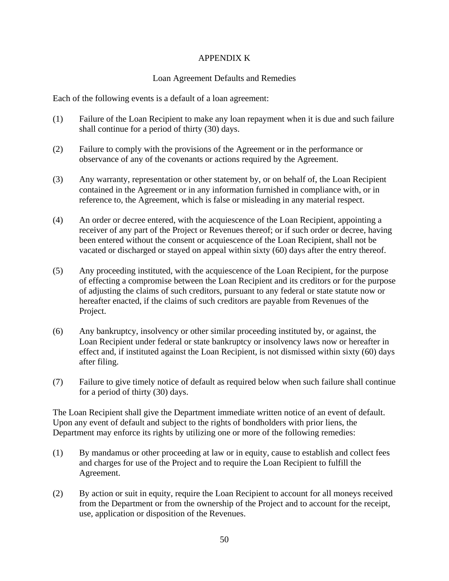# APPENDIX K

## Loan Agreement Defaults and Remedies

Each of the following events is a default of a loan agreement:

- (1) Failure of the Loan Recipient to make any loan repayment when it is due and such failure shall continue for a period of thirty (30) days.
- (2) Failure to comply with the provisions of the Agreement or in the performance or observance of any of the covenants or actions required by the Agreement.
- (3) Any warranty, representation or other statement by, or on behalf of, the Loan Recipient contained in the Agreement or in any information furnished in compliance with, or in reference to, the Agreement, which is false or misleading in any material respect.
- (4) An order or decree entered, with the acquiescence of the Loan Recipient, appointing a receiver of any part of the Project or Revenues thereof; or if such order or decree, having been entered without the consent or acquiescence of the Loan Recipient, shall not be vacated or discharged or stayed on appeal within sixty (60) days after the entry thereof.
- (5) Any proceeding instituted, with the acquiescence of the Loan Recipient, for the purpose of effecting a compromise between the Loan Recipient and its creditors or for the purpose of adjusting the claims of such creditors, pursuant to any federal or state statute now or hereafter enacted, if the claims of such creditors are payable from Revenues of the Project.
- (6) Any bankruptcy, insolvency or other similar proceeding instituted by, or against, the Loan Recipient under federal or state bankruptcy or insolvency laws now or hereafter in effect and, if instituted against the Loan Recipient, is not dismissed within sixty (60) days after filing.
- (7) Failure to give timely notice of default as required below when such failure shall continue for a period of thirty (30) days.

The Loan Recipient shall give the Department immediate written notice of an event of default. Upon any event of default and subject to the rights of bondholders with prior liens, the Department may enforce its rights by utilizing one or more of the following remedies:

- (1) By mandamus or other proceeding at law or in equity, cause to establish and collect fees and charges for use of the Project and to require the Loan Recipient to fulfill the Agreement.
- (2) By action or suit in equity, require the Loan Recipient to account for all moneys received from the Department or from the ownership of the Project and to account for the receipt, use, application or disposition of the Revenues.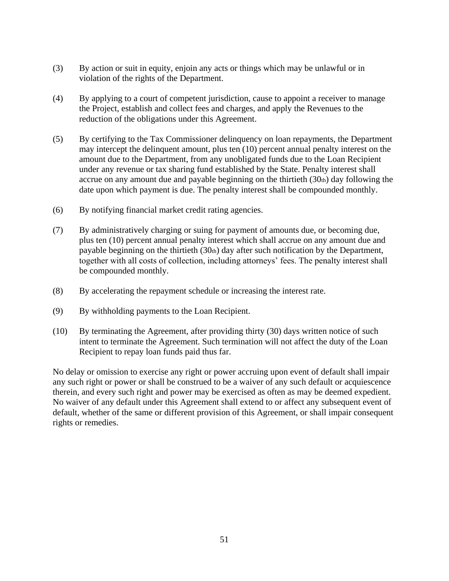- (3) By action or suit in equity, enjoin any acts or things which may be unlawful or in violation of the rights of the Department.
- (4) By applying to a court of competent jurisdiction, cause to appoint a receiver to manage the Project, establish and collect fees and charges, and apply the Revenues to the reduction of the obligations under this Agreement.
- (5) By certifying to the Tax Commissioner delinquency on loan repayments, the Department may intercept the delinquent amount, plus ten (10) percent annual penalty interest on the amount due to the Department, from any unobligated funds due to the Loan Recipient under any revenue or tax sharing fund established by the State. Penalty interest shall accrue on any amount due and payable beginning on the thirtieth  $(30<sub>th</sub>)$  day following the date upon which payment is due. The penalty interest shall be compounded monthly.
- (6) By notifying financial market credit rating agencies.
- (7) By administratively charging or suing for payment of amounts due, or becoming due, plus ten (10) percent annual penalty interest which shall accrue on any amount due and payable beginning on the thirtieth (30th) day after such notification by the Department, together with all costs of collection, including attorneys' fees. The penalty interest shall be compounded monthly.
- (8) By accelerating the repayment schedule or increasing the interest rate.
- (9) By withholding payments to the Loan Recipient.
- (10) By terminating the Agreement, after providing thirty (30) days written notice of such intent to terminate the Agreement. Such termination will not affect the duty of the Loan Recipient to repay loan funds paid thus far.

No delay or omission to exercise any right or power accruing upon event of default shall impair any such right or power or shall be construed to be a waiver of any such default or acquiescence therein, and every such right and power may be exercised as often as may be deemed expedient. No waiver of any default under this Agreement shall extend to or affect any subsequent event of default, whether of the same or different provision of this Agreement, or shall impair consequent rights or remedies.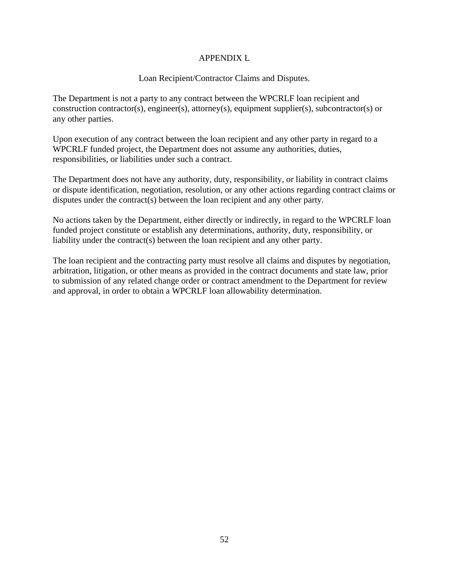# APPENDIX L

# Loan Recipient/Contractor Claims and Disputes.

The Department is not a party to any contract between the WPCRLF loan recipient and construction contractor(s), engineer(s), attorney(s), equipment supplier(s), subcontractor(s) or any other parties.

Upon execution of any contract between the loan recipient and any other party in regard to a WPCRLF funded project, the Department does not assume any authorities, duties, responsibilities, or liabilities under such a contract.

The Department does not have any authority, duty, responsibility, or liability in contract claims or dispute identification, negotiation, resolution, or any other actions regarding contract claims or disputes under the contract(s) between the loan recipient and any other party.

No actions taken by the Department, either directly or indirectly, in regard to the WPCRLF loan funded project constitute or establish any determinations, authority, duty, responsibility, or liability under the contract(s) between the loan recipient and any other party.

The loan recipient and the contracting party must resolve all claims and disputes by negotiation, arbitration, litigation, or other means as provided in the contract documents and state law, prior to submission of any related change order or contract amendment to the Department for review and approval, in order to obtain a WPCRLF loan allowability determination.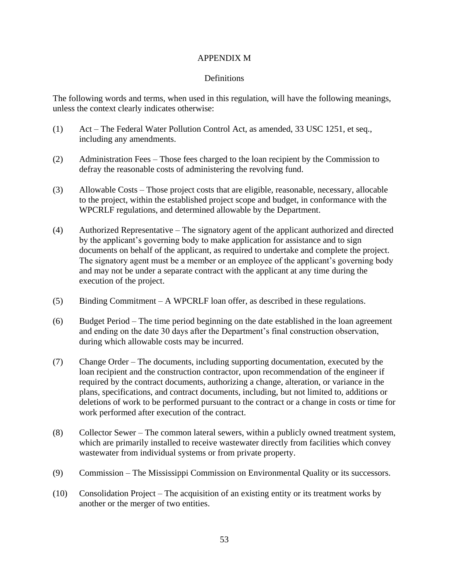### APPENDIX M

# **Definitions**

The following words and terms, when used in this regulation, will have the following meanings, unless the context clearly indicates otherwise:

- (1) Act The Federal Water Pollution Control Act, as amended, 33 USC 1251, et seq., including any amendments.
- (2) Administration Fees Those fees charged to the loan recipient by the Commission to defray the reasonable costs of administering the revolving fund.
- (3) Allowable Costs Those project costs that are eligible, reasonable, necessary, allocable to the project, within the established project scope and budget, in conformance with the WPCRLF regulations, and determined allowable by the Department.
- (4) Authorized Representative The signatory agent of the applicant authorized and directed by the applicant's governing body to make application for assistance and to sign documents on behalf of the applicant, as required to undertake and complete the project. The signatory agent must be a member or an employee of the applicant's governing body and may not be under a separate contract with the applicant at any time during the execution of the project.
- (5) Binding Commitment A WPCRLF loan offer, as described in these regulations.
- (6) Budget Period The time period beginning on the date established in the loan agreement and ending on the date 30 days after the Department's final construction observation, during which allowable costs may be incurred.
- (7) Change Order The documents, including supporting documentation, executed by the loan recipient and the construction contractor, upon recommendation of the engineer if required by the contract documents, authorizing a change, alteration, or variance in the plans, specifications, and contract documents, including, but not limited to, additions or deletions of work to be performed pursuant to the contract or a change in costs or time for work performed after execution of the contract.
- (8) Collector Sewer The common lateral sewers, within a publicly owned treatment system, which are primarily installed to receive wastewater directly from facilities which convey wastewater from individual systems or from private property.
- (9) Commission The Mississippi Commission on Environmental Quality or its successors.
- (10) Consolidation Project The acquisition of an existing entity or its treatment works by another or the merger of two entities.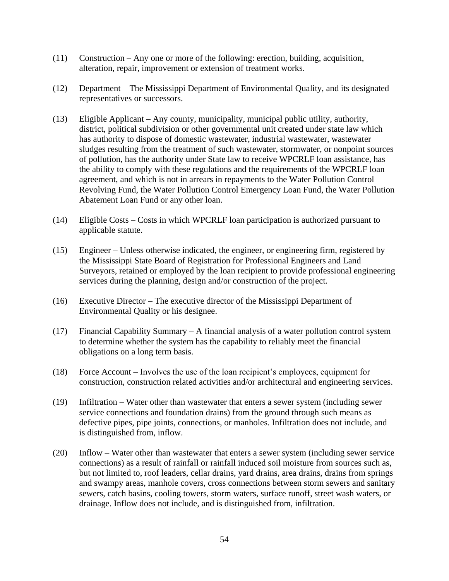- (11) Construction Any one or more of the following: erection, building, acquisition, alteration, repair, improvement or extension of treatment works.
- (12) Department The Mississippi Department of Environmental Quality, and its designated representatives or successors.
- (13) Eligible Applicant Any county, municipality, municipal public utility, authority, district, political subdivision or other governmental unit created under state law which has authority to dispose of domestic wastewater, industrial wastewater, wastewater sludges resulting from the treatment of such wastewater, stormwater, or nonpoint sources of pollution, has the authority under State law to receive WPCRLF loan assistance, has the ability to comply with these regulations and the requirements of the WPCRLF loan agreement, and which is not in arrears in repayments to the Water Pollution Control Revolving Fund, the Water Pollution Control Emergency Loan Fund, the Water Pollution Abatement Loan Fund or any other loan.
- (14) Eligible Costs Costs in which WPCRLF loan participation is authorized pursuant to applicable statute.
- (15) Engineer Unless otherwise indicated, the engineer, or engineering firm, registered by the Mississippi State Board of Registration for Professional Engineers and Land Surveyors, retained or employed by the loan recipient to provide professional engineering services during the planning, design and/or construction of the project.
- (16) Executive Director The executive director of the Mississippi Department of Environmental Quality or his designee.
- (17) Financial Capability Summary A financial analysis of a water pollution control system to determine whether the system has the capability to reliably meet the financial obligations on a long term basis.
- (18) Force Account Involves the use of the loan recipient's employees, equipment for construction, construction related activities and/or architectural and engineering services.
- (19) Infiltration Water other than wastewater that enters a sewer system (including sewer service connections and foundation drains) from the ground through such means as defective pipes, pipe joints, connections, or manholes. Infiltration does not include, and is distinguished from, inflow.
- (20) Inflow Water other than wastewater that enters a sewer system (including sewer service connections) as a result of rainfall or rainfall induced soil moisture from sources such as, but not limited to, roof leaders, cellar drains, yard drains, area drains, drains from springs and swampy areas, manhole covers, cross connections between storm sewers and sanitary sewers, catch basins, cooling towers, storm waters, surface runoff, street wash waters, or drainage. Inflow does not include, and is distinguished from, infiltration.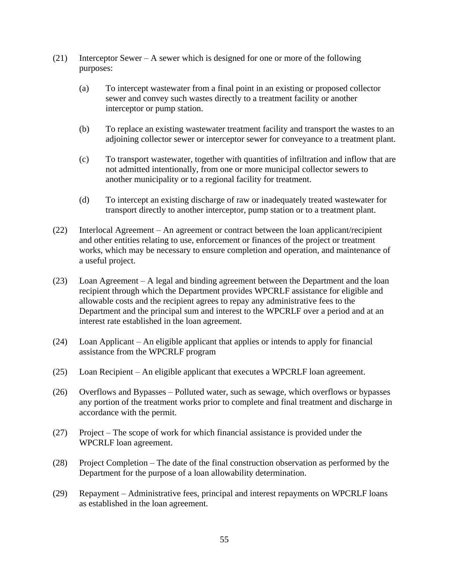- (21) Interceptor Sewer A sewer which is designed for one or more of the following purposes:
	- (a) To intercept wastewater from a final point in an existing or proposed collector sewer and convey such wastes directly to a treatment facility or another interceptor or pump station.
	- (b) To replace an existing wastewater treatment facility and transport the wastes to an adjoining collector sewer or interceptor sewer for conveyance to a treatment plant.
	- (c) To transport wastewater, together with quantities of infiltration and inflow that are not admitted intentionally, from one or more municipal collector sewers to another municipality or to a regional facility for treatment.
	- (d) To intercept an existing discharge of raw or inadequately treated wastewater for transport directly to another interceptor, pump station or to a treatment plant.
- (22) Interlocal Agreement An agreement or contract between the loan applicant/recipient and other entities relating to use, enforcement or finances of the project or treatment works, which may be necessary to ensure completion and operation, and maintenance of a useful project.
- (23) Loan Agreement A legal and binding agreement between the Department and the loan recipient through which the Department provides WPCRLF assistance for eligible and allowable costs and the recipient agrees to repay any administrative fees to the Department and the principal sum and interest to the WPCRLF over a period and at an interest rate established in the loan agreement.
- (24) Loan Applicant An eligible applicant that applies or intends to apply for financial assistance from the WPCRLF program
- (25) Loan Recipient An eligible applicant that executes a WPCRLF loan agreement.
- (26) Overflows and Bypasses Polluted water, such as sewage, which overflows or bypasses any portion of the treatment works prior to complete and final treatment and discharge in accordance with the permit.
- (27) Project The scope of work for which financial assistance is provided under the WPCRLF loan agreement.
- (28) Project Completion The date of the final construction observation as performed by the Department for the purpose of a loan allowability determination.
- (29) Repayment Administrative fees, principal and interest repayments on WPCRLF loans as established in the loan agreement.